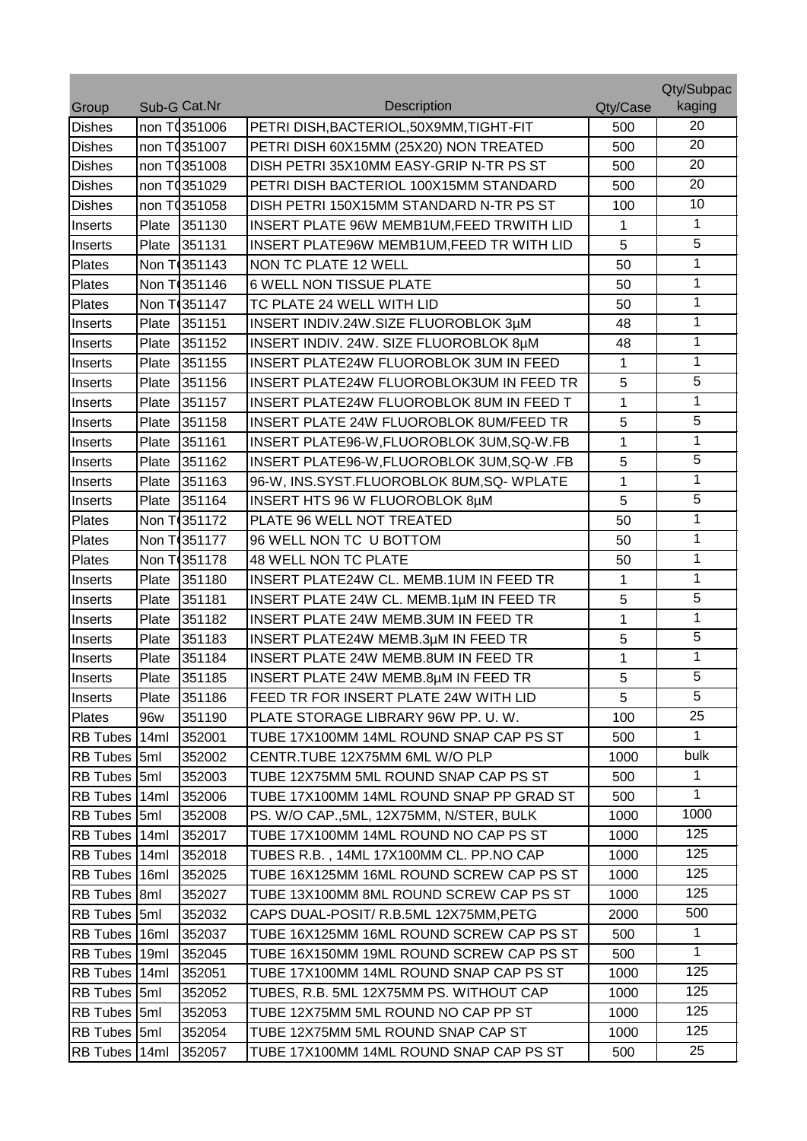|                 |       |                          |                                            |              | Qty/Subpac     |
|-----------------|-------|--------------------------|--------------------------------------------|--------------|----------------|
| Group           |       | Sub-G Cat.Nr             | <b>Description</b>                         | Qty/Case     | kaging         |
| <b>Dishes</b>   |       | non T0351006             | PETRI DISH, BACTERIOL, 50X9MM, TIGHT-FIT   | 500          | 20             |
| <b>Dishes</b>   |       | non T0351007             | PETRI DISH 60X15MM (25X20) NON TREATED     | 500          | 20             |
| <b>Dishes</b>   |       | non T0351008             | DISH PETRI 35X10MM EASY-GRIP N-TR PS ST    | 500          | 20             |
| <b>Dishes</b>   |       | non T0351029             | PETRI DISH BACTERIOL 100X15MM STANDARD     | 500          | 20             |
| <b>Dishes</b>   |       | non T <sub>4351058</sub> | DISH PETRI 150X15MM STANDARD N-TR PS ST    | 100          | 10             |
| Inserts         | Plate | 351130                   | INSERT PLATE 96W MEMB1UM, FEED TRWITH LID  | 1            | $\mathbf{1}$   |
| Inserts         | Plate | 351131                   | INSERT PLATE96W MEMB1UM, FEED TR WITH LID  | 5            | $\overline{5}$ |
| Plates          |       | Non T <sub>351143</sub>  | <b>NON TC PLATE 12 WELL</b>                | 50           | 1              |
| Plates          |       | Non T <sub>351146</sub>  | <b>6 WELL NON TISSUE PLATE</b>             | 50           | 1              |
| Plates          |       | Non T <sub>351147</sub>  | TC PLATE 24 WELL WITH LID                  | 50           | 1              |
| Inserts         | Plate | 351151                   | INSERT INDIV.24W.SIZE FLUOROBLOK 3µM       | 48           | 1              |
| Inserts         | Plate | 351152                   | INSERT INDIV. 24W. SIZE FLUOROBLOK 8µM     | 48           | 1              |
| Inserts         | Plate | 351155                   | INSERT PLATE24W FLUOROBLOK 3UM IN FEED     | 1            | 1              |
| Inserts         | Plate | 351156                   | INSERT PLATE24W FLUOROBLOK3UM IN FEED TR   | 5            | 5              |
| Inserts         | Plate | 351157                   | INSERT PLATE24W FLUOROBLOK 8UM IN FEED T   | 1            | 1              |
| Inserts         | Plate | 351158                   | INSERT PLATE 24W FLUOROBLOK 8UM/FEED TR    | 5            | 5              |
| Inserts         | Plate | 351161                   | INSERT PLATE96-W, FLUOROBLOK 3UM, SQ-W. FB | $\mathbf{1}$ | $\mathbf{1}$   |
| Inserts         | Plate | 351162                   | INSERT PLATE96-W, FLUOROBLOK 3UM, SQ-W .FB | 5            | 5              |
| Inserts         | Plate | 351163                   | 96-W, INS.SYST.FLUOROBLOK 8UM, SQ- WPLATE  | $\mathbf{1}$ | 1              |
| Inserts         | Plate | 351164                   | INSERT HTS 96 W FLUOROBLOK 8µM             | 5            | 5              |
| Plates          |       | Non T <sub>351172</sub>  | PLATE 96 WELL NOT TREATED                  | 50           | 1              |
| Plates          |       | Non T 351177             | 96 WELL NON TC U BOTTOM                    | 50           | 1              |
| Plates          |       | Non T <sub>351178</sub>  | 48 WELL NON TC PLATE                       | 50           | 1              |
| Inserts         | Plate | 351180                   | INSERT PLATE24W CL. MEMB.1UM IN FEED TR    | 1            | 1              |
| Inserts         | Plate | 351181                   | INSERT PLATE 24W CL. MEMB.1µM IN FEED TR   | 5            | 5              |
| Inserts         | Plate | 351182                   | INSERT PLATE 24W MEMB.3UM IN FEED TR       | 1            | 1              |
| Inserts         | Plate | 351183                   | INSERT PLATE24W MEMB.3µM IN FEED TR        | 5            | 5              |
| Inserts         | Plate | 351184                   | INSERT PLATE 24W MEMB.8UM IN FEED TR       | 1            | 1              |
| Inserts         | Plate | 351185                   | INSERT PLATE 24W MEMB.8µM IN FEED TR       | 5            | $\overline{5}$ |
| Inserts         | Plate | 351186                   | FEED TR FOR INSERT PLATE 24W WITH LID      | 5            | 5              |
| Plates          | 96w   | 351190                   | PLATE STORAGE LIBRARY 96W PP. U.W.         | 100          | 25             |
| <b>RB</b> Tubes | 14ml  | 352001                   | TUBE 17X100MM 14ML ROUND SNAP CAP PS ST    | 500          | $\mathbf{1}$   |
| <b>RB</b> Tubes | 5ml   | 352002                   | CENTR.TUBE 12X75MM 6ML W/O PLP             | 1000         | bulk           |
| <b>RB</b> Tubes | 5ml   | 352003                   | TUBE 12X75MM 5ML ROUND SNAP CAP PS ST      | 500          | $\mathbf 1$    |
| <b>RB</b> Tubes | 14ml  | 352006                   | TUBE 17X100MM 14ML ROUND SNAP PP GRAD ST   | 500          | 1              |
| RB Tubes 5ml    |       | 352008                   | PS. W/O CAP., 5ML, 12X75MM, N/STER, BULK   | 1000         | 1000           |
| <b>RB Tubes</b> | 14ml  | 352017                   | TUBE 17X100MM 14ML ROUND NO CAP PS ST      | 1000         | 125            |
| RB Tubes 14ml   |       | 352018                   | TUBES R.B., 14ML 17X100MM CL. PP.NO CAP    | 1000         | 125            |
| RB Tubes 16ml   |       | 352025                   | TUBE 16X125MM 16ML ROUND SCREW CAP PS ST   | 1000         | 125            |
| <b>RB</b> Tubes | 8m    | 352027                   | TUBE 13X100MM 8ML ROUND SCREW CAP PS ST    | 1000         | 125            |
| <b>RB Tubes</b> | 5ml   | 352032                   | CAPS DUAL-POSIT/ R.B.5ML 12X75MM, PETG     | 2000         | 500            |
| RB Tubes   16ml |       | 352037                   | TUBE 16X125MM 16ML ROUND SCREW CAP PS ST   | 500          | $\mathbf 1$    |
| RB Tubes   19ml |       | 352045                   | TUBE 16X150MM 19ML ROUND SCREW CAP PS ST   | 500          | 1              |
| RB Tubes 14ml   |       | 352051                   | TUBE 17X100MM 14ML ROUND SNAP CAP PS ST    | 1000         | 125            |
| RB Tubes 5ml    |       | 352052                   | TUBES, R.B. 5ML 12X75MM PS. WITHOUT CAP    | 1000         | 125            |
| <b>RB</b> Tubes | 5ml   | 352053                   | TUBE 12X75MM 5ML ROUND NO CAP PP ST        | 1000         | 125            |
| <b>RB Tubes</b> | 5ml   | 352054                   | TUBE 12X75MM 5ML ROUND SNAP CAP ST         | 1000         | 125            |
| <b>RB</b> Tubes | 14ml  | 352057                   | TUBE 17X100MM 14ML ROUND SNAP CAP PS ST    | 500          | 25             |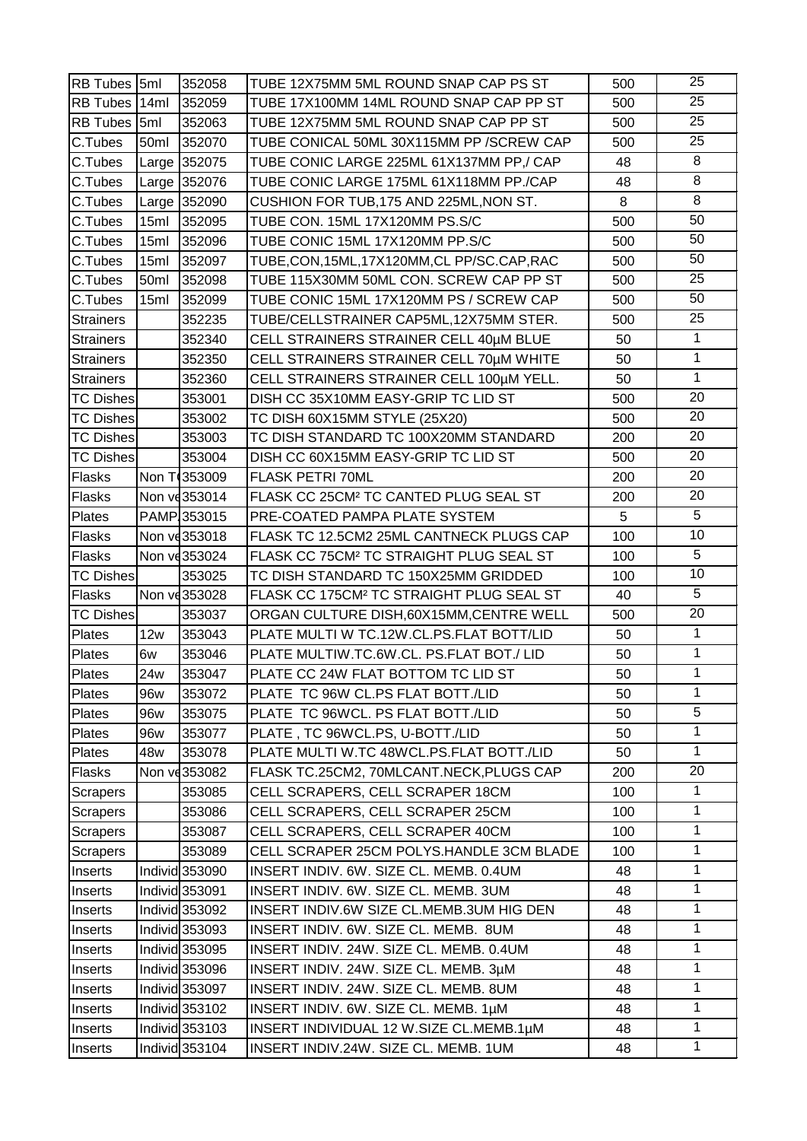| RB Tubes 5ml     |      | 352058                    | TUBE 12X75MM 5ML ROUND SNAP CAP PS ST                | 500 | 25              |
|------------------|------|---------------------------|------------------------------------------------------|-----|-----------------|
| RB Tubes 14ml    |      | 352059                    | TUBE 17X100MM 14ML ROUND SNAP CAP PP ST              | 500 | $\overline{25}$ |
| RB Tubes 5ml     |      | 352063                    | TUBE 12X75MM 5ML ROUND SNAP CAP PP ST                | 500 | 25              |
| C.Tubes          | 50ml | 352070                    | TUBE CONICAL 50ML 30X115MM PP / SCREW CAP            | 500 | 25              |
| C.Tubes          |      | Large 352075              | TUBE CONIC LARGE 225ML 61X137MM PP,/ CAP             | 48  | 8               |
| C.Tubes          |      | Large 352076              | TUBE CONIC LARGE 175ML 61X118MM PP./CAP              | 48  | 8               |
| C.Tubes          |      | Large 352090              | CUSHION FOR TUB, 175 AND 225ML, NON ST.              | 8   | $\overline{8}$  |
| C.Tubes          | 15ml | 352095                    | TUBE CON. 15ML 17X120MM PS.S/C                       | 500 | 50              |
| C.Tubes          | 15ml | 352096                    | TUBE CONIC 15ML 17X120MM PP.S/C                      | 500 | 50              |
| C.Tubes          | 15ml | 352097                    | TUBE, CON, 15ML, 17X120MM, CL PP/SC.CAP, RAC         | 500 | 50              |
| C.Tubes          | 50ml | 352098                    | TUBE 115X30MM 50ML CON. SCREW CAP PP ST              | 500 | 25              |
| C.Tubes          | 15ml | 352099                    | TUBE CONIC 15ML 17X120MM PS / SCREW CAP              | 500 | $\overline{50}$ |
| <b>Strainers</b> |      | 352235                    | TUBE/CELLSTRAINER CAP5ML, 12X75MM STER.              | 500 | 25              |
| <b>Strainers</b> |      | 352340                    | CELL STRAINERS STRAINER CELL 40µM BLUE               | 50  | $\mathbf{1}$    |
| <b>Strainers</b> |      | 352350                    | CELL STRAINERS STRAINER CELL 70µM WHITE              | 50  | $\overline{1}$  |
| <b>Strainers</b> |      | 352360                    | CELL STRAINERS STRAINER CELL 100µM YELL.             | 50  | $\mathbf{1}$    |
| <b>TC Dishes</b> |      | 353001                    | DISH CC 35X10MM EASY-GRIP TC LID ST                  | 500 | 20              |
| <b>TC Dishes</b> |      | 353002                    | TC DISH 60X15MM STYLE (25X20)                        | 500 | 20              |
| <b>TC Dishes</b> |      | 353003                    | TC DISH STANDARD TC 100X20MM STANDARD                | 200 | 20              |
| <b>TC Dishes</b> |      | 353004                    | DISH CC 60X15MM EASY-GRIP TC LID ST                  | 500 | 20              |
| Flasks           |      | Non T(353009              | <b>FLASK PETRI 70ML</b>                              | 200 | 20              |
| Flasks           |      | Non ve 353014             | FLASK CC 25CM <sup>2</sup> TC CANTED PLUG SEAL ST    | 200 | 20              |
| Plates           |      | PAMP353015                | PRE-COATED PAMPA PLATE SYSTEM                        | 5   | 5               |
| Flasks           |      | Non vd 353018             | FLASK TC 12.5CM2 25ML CANTNECK PLUGS CAP             | 100 | $\overline{10}$ |
| Flasks           |      | Non ve 353024             | FLASK CC 75CM <sup>2</sup> TC STRAIGHT PLUG SEAL ST  | 100 | 5               |
| <b>TC Dishes</b> |      | 353025                    | TC DISH STANDARD TC 150X25MM GRIDDED                 | 100 | 10              |
| Flasks           |      | Non vd353028              | FLASK CC 175CM <sup>2</sup> TC STRAIGHT PLUG SEAL ST | 40  | 5               |
| <b>TC Dishes</b> |      | 353037                    | ORGAN CULTURE DISH, 60X15MM, CENTRE WELL             | 500 | $\overline{20}$ |
| Plates           | 12w  | 353043                    | PLATE MULTI W TC.12W.CL.PS.FLAT BOTT/LID             | 50  | $\mathbf{1}$    |
| Plates           | 6w   | 353046                    | PLATE MULTIW.TC.6W.CL. PS.FLAT BOT./LID              | 50  | 1               |
| Plates_          |      | 24w 353047                | PLATE CC 24W FLAT BOTTOM TC LID ST                   | 50  | $\overline{1}$  |
| Plates           | 96w  | 353072                    | PLATE TC 96W CL.PS FLAT BOTT./LID                    | 50  | 1               |
| Plates           | 96w  | 353075                    | PLATE TC 96WCL. PS FLAT BOTT./LID                    | 50  | $\overline{5}$  |
| Plates           | 96w  | 353077                    | PLATE, TC 96WCL.PS, U-BOTT./LID                      | 50  | 1               |
| Plates           | 48w  | 353078                    | PLATE MULTI W.TC 48WCL.PS.FLAT BOTT./LID             | 50  | $\mathbf{1}$    |
| Flasks           |      | Non ve 353082             | FLASK TC.25CM2, 70MLCANT.NECK, PLUGS CAP             | 200 | 20              |
| Scrapers         |      | 353085                    | CELL SCRAPERS, CELL SCRAPER 18CM                     | 100 | $\mathbf 1$     |
| Scrapers         |      | 353086                    | CELL SCRAPERS, CELL SCRAPER 25CM                     | 100 | $\mathbf{1}$    |
| <b>Scrapers</b>  |      | 353087                    | CELL SCRAPERS, CELL SCRAPER 40CM                     | 100 | 1               |
| Scrapers         |      | 353089                    | CELL SCRAPER 25CM POLYS.HANDLE 3CM BLADE             | 100 | $\mathbf 1$     |
| Inserts          |      | Individ 353090            | INSERT INDIV. 6W. SIZE CL. MEMB. 0.4UM               | 48  | $\mathbf{1}$    |
| Inserts          |      | Individ 353091            | INSERT INDIV. 6W. SIZE CL. MEMB. 3UM                 | 48  | 1               |
| Inserts          |      | Individ 353092            | INSERT INDIV.6W SIZE CL.MEMB.3UM HIG DEN             | 48  | $\mathbf{1}$    |
| Inserts          |      | Individ 353093            | INSERT INDIV. 6W. SIZE CL. MEMB. 8UM                 | 48  | $\mathbf 1$     |
| Inserts          |      | Individ 353095            | INSERT INDIV. 24W. SIZE CL. MEMB. 0.4UM              | 48  | $\mathbf{1}$    |
| Inserts          |      | Individ <sub>353096</sub> | INSERT INDIV. 24W. SIZE CL. MEMB. 3µM                | 48  | $\mathbf{1}$    |
| Inserts          |      | Individ 353097            | INSERT INDIV. 24W. SIZE CL. MEMB. 8UM                | 48  | $\mathbf{1}$    |
| Inserts          |      | Individ 353102            | INSERT INDIV. 6W. SIZE CL. MEMB. 1µM                 | 48  | $\mathbf{1}$    |
| Inserts          |      | Individ <sub>353103</sub> | INSERT INDIVIDUAL 12 W.SIZE CL.MEMB.1µM              | 48  | 1               |
| Inserts          |      | Individ 353104            | INSERT INDIV.24W. SIZE CL. MEMB. 1UM                 | 48  | $\mathbf{1}$    |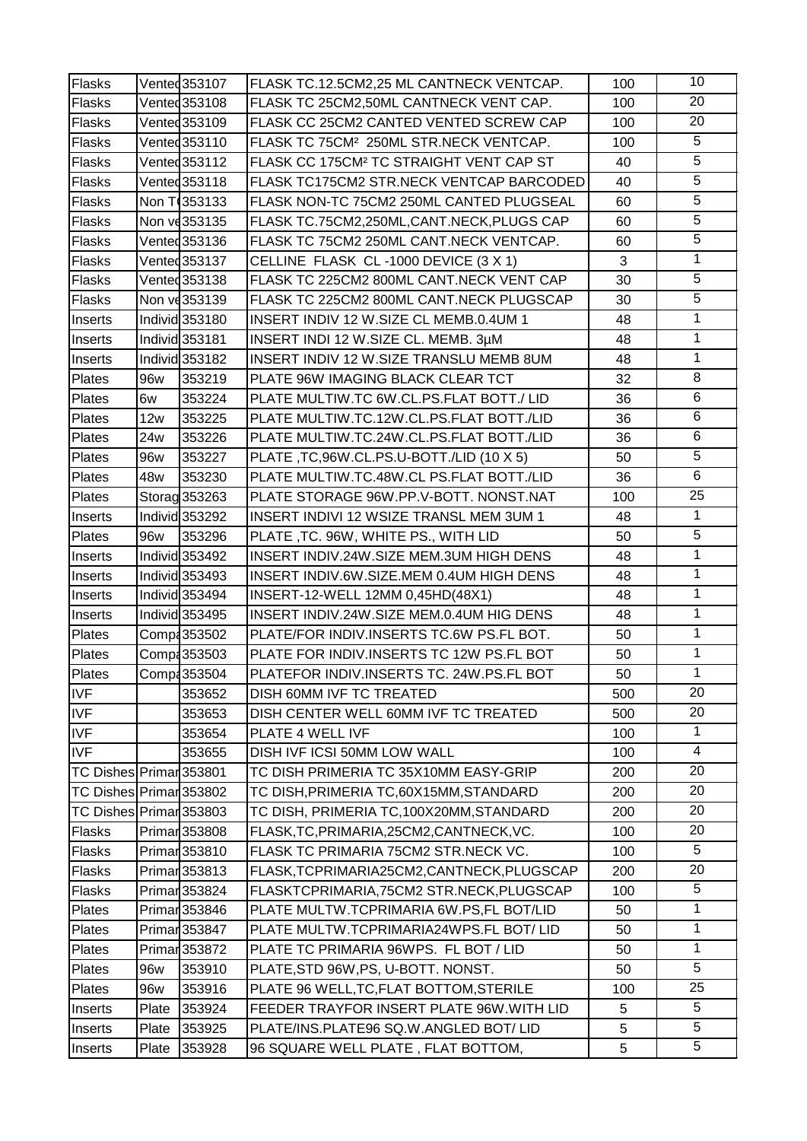| Flasks                  |       | Vented 353107            | FLASK TC.12.5CM2,25 ML CANTNECK VENTCAP.            | 100 | 10              |
|-------------------------|-------|--------------------------|-----------------------------------------------------|-----|-----------------|
| <b>Flasks</b>           |       | Vented 353108            | FLASK TC 25CM2,50ML CANTNECK VENT CAP.              | 100 | $\overline{20}$ |
| <b>Flasks</b>           |       | Vented 353109            | FLASK CC 25CM2 CANTED VENTED SCREW CAP              | 100 | 20              |
| Flasks                  |       | Vented 353110            | FLASK TC 75CM <sup>2</sup> 250ML STR.NECK VENTCAP.  | 100 | 5               |
| Flasks                  |       | Vented 353112            | FLASK CC 175CM <sup>2</sup> TC STRAIGHT VENT CAP ST | 40  | $\overline{5}$  |
| <b>Flasks</b>           |       | Vented 353118            | FLASK TC175CM2 STR.NECK VENTCAP BARCODED            | 40  | $\overline{5}$  |
| Flasks                  |       | Non T <sub>353133</sub>  | FLASK NON-TC 75CM2 250ML CANTED PLUGSEAL            | 60  | $\overline{5}$  |
| Flasks                  |       | Non vd353135             | FLASK TC.75CM2,250ML,CANT.NECK,PLUGS CAP            | 60  | $\overline{5}$  |
| Flasks                  |       | Vented 353136            | FLASK TC 75CM2 250ML CANT.NECK VENTCAP.             | 60  | $\overline{5}$  |
| Flasks                  |       | Vented 353137            | CELLINE FLASK CL-1000 DEVICE (3 X 1)                | 3   | 1               |
| Flasks                  |       | Vented 353138            | FLASK TC 225CM2 800ML CANT.NECK VENT CAP            | 30  | $\overline{5}$  |
| Flasks                  |       | Non ve 353139            | FLASK TC 225CM2 800ML CANT.NECK PLUGSCAP            | 30  | $\overline{5}$  |
| Inserts                 |       | Individ 353180           | INSERT INDIV 12 W.SIZE CL MEMB.0.4UM 1              | 48  | 1               |
| Inserts                 |       | Individ 353181           | INSERT INDI 12 W.SIZE CL. MEMB. 3µM                 | 48  | $\mathbf{1}$    |
| Inserts                 |       | Individ 353182           | INSERT INDIV 12 W.SIZE TRANSLU MEMB 8UM             | 48  | $\overline{1}$  |
| Plates                  | 96w   | 353219                   | PLATE 96W IMAGING BLACK CLEAR TCT                   | 32  | 8               |
| Plates                  | 6w    | 353224                   | PLATE MULTIW.TC 6W.CL.PS.FLAT BOTT./LID             | 36  | $\overline{6}$  |
| Plates                  | 12w   | 353225                   | PLATE MULTIW.TC.12W.CL.PS.FLAT BOTT./LID            | 36  | 6               |
| Plates                  | 24w   | 353226                   | PLATE MULTIW.TC.24W.CL.PS.FLAT BOTT./LID            | 36  | 6               |
| Plates                  | 96w   | 353227                   | PLATE, TC, 96W.CL.PS.U-BOTT./LID (10 X 5)           | 50  | $\overline{5}$  |
| <b>Plates</b>           | 48w   | 353230                   | PLATE MULTIW.TC.48W.CL PS.FLAT BOTT./LID            | 36  | $\overline{6}$  |
| <b>Plates</b>           |       | Storag 353263            | PLATE STORAGE 96W.PP.V-BOTT. NONST.NAT              | 100 | 25              |
| Inserts                 |       | Individ 353292           | INSERT INDIVI 12 WSIZE TRANSL MEM 3UM 1             | 48  | $\mathbf{1}$    |
| Plates                  | 96w   | 353296                   | PLATE, TC. 96W, WHITE PS., WITH LID                 | 50  | $\overline{5}$  |
| Inserts                 |       | Individ 353492           | INSERT INDIV.24W.SIZE MEM.3UM HIGH DENS             | 48  | 1               |
| Inserts                 |       | Individ 353493           | INSERT INDIV.6W.SIZE.MEM 0.4UM HIGH DENS            | 48  | $\mathbf{1}$    |
| Inserts                 |       | Individ 353494           | INSERT-12-WELL 12MM 0,45HD(48X1)                    | 48  | 1               |
| Inserts                 |       | Individ 353495           | INSERT INDIV.24W.SIZE MEM.0.4UM HIG DENS            | 48  | $\mathbf{1}$    |
| Plates                  |       | Comp4353502              | PLATE/FOR INDIV.INSERTS TC.6W PS.FL BOT.            | 50  | $\mathbf{1}$    |
| Plates                  |       | Comp4353503              | PLATE FOR INDIV.INSERTS TC 12W PS.FL BOT            | 50  | 1               |
| Plates                  |       | Comp: 353504             | PLATEFOR INDIV.INSERTS TC. 24W.PS.FL BOT            | 50  | $\overline{1}$  |
| <b>IVF</b>              |       | 353652                   | DISH 60MM IVF TC TREATED                            | 500 | 20              |
| <b>IVF</b>              |       | 353653                   | DISH CENTER WELL 60MM IVF TC TREATED                | 500 | 20              |
| <b>IVF</b>              |       | 353654                   | PLATE 4 WELL IVF                                    | 100 | $\mathbf{1}$    |
| <b>IVF</b>              |       | 353655                   | DISH IVF ICSI 50MM LOW WALL                         | 100 | 4               |
| TC Dishes Primar 353801 |       |                          | TC DISH PRIMERIA TC 35X10MM EASY-GRIP               | 200 | 20              |
| TC Dishes Primar 353802 |       |                          | TC DISH, PRIMERIA TC, 60X15MM, STANDARD             | 200 | 20              |
| TC Dishes Primar 353803 |       |                          | TC DISH, PRIMERIA TC, 100X20MM, STANDARD            | 200 | 20              |
| Flasks                  |       | Primar <sub>353808</sub> | FLASK, TC, PRIMARIA, 25CM2, CANTNECK, VC.           | 100 | 20              |
| Flasks                  |       | Primar353810             | FLASK TC PRIMARIA 75CM2 STR.NECK VC.                | 100 | 5               |
| <b>Flasks</b>           |       | Primar353813             | FLASK, TCPRIMARIA25CM2, CANTNECK, PLUGSCAP          | 200 | 20              |
| Flasks                  |       | Primar353824             | FLASKTCPRIMARIA, 75CM2 STR. NECK, PLUGSCAP          | 100 | 5               |
| Plates                  |       | Primar 353846            | PLATE MULTW.TCPRIMARIA 6W.PS,FL BOT/LID             | 50  | 1               |
| Plates                  |       | Primar 353847            | PLATE MULTW.TCPRIMARIA24WPS.FL BOT/LID              | 50  | 1               |
| Plates                  |       | Primar 353872            | PLATE TC PRIMARIA 96WPS. FL BOT / LID               | 50  | $\mathbf{1}$    |
| Plates                  | 96w   | 353910                   | PLATE, STD 96W, PS, U-BOTT. NONST.                  | 50  | $\overline{5}$  |
| Plates                  | 96w   | 353916                   | PLATE 96 WELL, TC, FLAT BOTTOM, STERILE             | 100 | 25              |
| Inserts                 | Plate | 353924                   | FEEDER TRAYFOR INSERT PLATE 96W. WITH LID           | 5   | 5               |
| Inserts                 | Plate | 353925                   | PLATE/INS.PLATE96 SQ.W.ANGLED BOT/LID               | 5   | 5               |
| Inserts                 | Plate | 353928                   | 96 SQUARE WELL PLATE, FLAT BOTTOM,                  | 5   | 5               |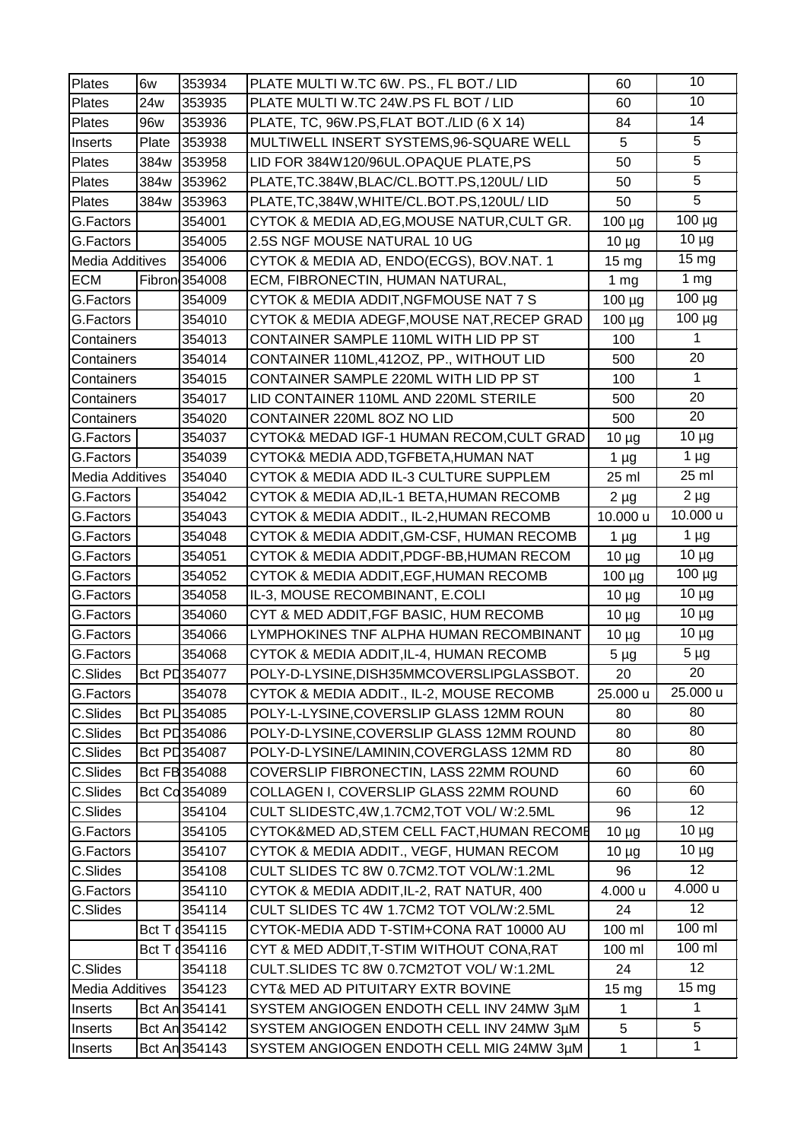| Plates                 | 6w    | 353934                   | PLATE MULTI W.TC 6W. PS., FL BOT./ LID      | 60               | 10                   |
|------------------------|-------|--------------------------|---------------------------------------------|------------------|----------------------|
| <b>Plates</b>          | 24w   | 353935                   | PLATE MULTI W.TC 24W.PS FL BOT / LID        | 60               | 10                   |
| Plates                 | 96w   | 353936                   | PLATE, TC, 96W.PS, FLAT BOT./LID (6 X 14)   | 84               | 14                   |
| Inserts                | Plate | 353938                   | MULTIWELL INSERT SYSTEMS, 96-SQUARE WELL    | 5                | 5                    |
| Plates                 | 384w  | 353958                   | LID FOR 384W120/96UL.OPAQUE PLATE,PS        | 50               | $\overline{5}$       |
| Plates                 | 384w  | 353962                   | PLATE, TC.384W, BLAC/CL.BOTT.PS, 120UL/LID  | 50               | $\overline{5}$       |
| Plates                 | 384w  | 353963                   | PLATE, TC, 384W, WHITE/CL.BOT.PS, 120UL/LID | 50               | $\overline{5}$       |
| G.Factors              |       | 354001                   | CYTOK & MEDIA AD, EG, MOUSE NATUR, CULT GR. | 100 µg           | $100 \mu g$          |
| G.Factors              |       | 354005                   | 2.5S NGF MOUSE NATURAL 10 UG                | $10 \mu g$       | $10 \mu g$           |
| Media Additives        |       | 354006                   | CYTOK & MEDIA AD, ENDO(ECGS), BOV.NAT. 1    | 15 mg            | 15 mg                |
| <b>ECM</b>             |       | Fibron 354008            | ECM, FIBRONECTIN, HUMAN NATURAL,            | 1 <sub>mg</sub>  | 1 <sub>mg</sub>      |
| G.Factors              |       | 354009                   | CYTOK & MEDIA ADDIT, NGFMOUSE NAT 7 S       | $100 \mu g$      | $100 \mu g$          |
| G.Factors              |       | 354010                   | CYTOK & MEDIA ADEGF, MOUSE NAT, RECEP GRAD  | 100 µg           | $\frac{100}{100}$ µg |
| Containers             |       | 354013                   | CONTAINER SAMPLE 110ML WITH LID PP ST       | 100              | 1                    |
| Containers             |       | 354014                   | CONTAINER 110ML, 412OZ, PP., WITHOUT LID    | 500              | 20                   |
| Containers             |       | 354015                   | CONTAINER SAMPLE 220ML WITH LID PP ST       | 100              | $\mathbf{1}$         |
| Containers             |       | 354017                   | LID CONTAINER 110ML AND 220ML STERILE       | 500              | 20                   |
| Containers             |       | 354020                   | CONTAINER 220ML 8OZ NO LID                  | 500              | 20                   |
| G.Factors              |       | 354037                   | CYTOK& MEDAD IGF-1 HUMAN RECOM, CULT GRAD   | $10 \mu g$       | $10 \mu g$           |
| G.Factors              |       | 354039                   | CYTOK& MEDIA ADD, TGFBETA, HUMAN NAT        | 1 µg             | $1 \mu g$            |
| <b>Media Additives</b> |       | 354040                   | CYTOK & MEDIA ADD IL-3 CULTURE SUPPLEM      | 25 ml            | 25 ml                |
| G.Factors              |       | 354042                   | CYTOK & MEDIA AD, IL-1 BETA, HUMAN RECOMB   | $2 \mu g$        | $2 \mu g$            |
| G.Factors              |       | 354043                   | CYTOK & MEDIA ADDIT., IL-2, HUMAN RECOMB    | 10.000 u         | 10.000 u             |
| G.Factors              |       | 354048                   | CYTOK & MEDIA ADDIT, GM-CSF, HUMAN RECOMB   | 1 <sub>µg</sub>  | $1 \mu g$            |
| G.Factors              |       | 354051                   | CYTOK & MEDIA ADDIT, PDGF-BB, HUMAN RECOM   | $10 \mu g$       | $10 \mu g$           |
| G.Factors              |       | 354052                   | CYTOK & MEDIA ADDIT, EGF, HUMAN RECOMB      | 100 µg           | $100 \mu g$          |
| G.Factors              |       | 354058                   | IL-3, MOUSE RECOMBINANT, E.COLI             | $10 \mu g$       | $10 \mu g$           |
| G.Factors              |       | 354060                   | CYT & MED ADDIT, FGF BASIC, HUM RECOMB      | $10 \mu g$       | $10 \mu g$           |
| G.Factors              |       | 354066                   | LYMPHOKINES TNF ALPHA HUMAN RECOMBINANT     | $10 \mu g$       | $10 \mu g$           |
| G.Factors              |       | 354068                   | CYTOK & MEDIA ADDIT, IL-4, HUMAN RECOMB     | $5 \mu g$        | $5 \mu g$            |
| C.Slides Bct PD 354077 |       |                          | POLY-D-LYSINE, DISH35MMCOVERSLIPGLASSBOT.   | 20               | 20                   |
| G.Factors              |       | 354078                   | CYTOK & MEDIA ADDIT., IL-2, MOUSE RECOMB    | 25.000 u         | 25.000 u             |
| C.Slides               |       | Bct PL 354085            | POLY-L-LYSINE, COVERSLIP GLASS 12MM ROUN    | 80               | 80                   |
| C.Slides               |       | Bct PL 354086            | POLY-D-LYSINE, COVERSLIP GLASS 12MM ROUND   | 80               | 80                   |
| C.Slides               |       | Bct PD 354087            | POLY-D-LYSINE/LAMININ, COVERGLASS 12MM RD   | 80               | 80                   |
| C.Slides               |       | Bct FB 354088            | COVERSLIP FIBRONECTIN, LASS 22MM ROUND      | 60               | 60                   |
| C.Slides               |       | Bct Cd354089             | COLLAGEN I, COVERSLIP GLASS 22MM ROUND      | 60               | 60                   |
| C.Slides               |       | 354104                   | CULT SLIDESTC, 4W, 1.7CM2, TOT VOL/W:2.5ML  | 96               | 12 <sub>2</sub>      |
| G.Factors              |       | 354105                   | CYTOK&MED AD, STEM CELL FACT, HUMAN RECOME  | $10 \mu g$       | $10 \mu g$           |
| G.Factors              |       | 354107                   | CYTOK & MEDIA ADDIT., VEGF, HUMAN RECOM     | $10 \mu g$       | $10 \mu g$           |
| C.Slides               |       | 354108                   | CULT SLIDES TC 8W 0.7CM2.TOT VOL/W:1.2ML    | 96               | 12 <sup>2</sup>      |
| G.Factors              |       | 354110                   | CYTOK & MEDIA ADDIT, IL-2, RAT NATUR, 400   | 4.000 u          | 4.000 u              |
| C.Slides               |       | 354114                   | CULT SLIDES TC 4W 1.7CM2 TOT VOL/W:2.5ML    | 24               | 12 <sup>°</sup>      |
|                        |       | Bct T 354115             | CYTOK-MEDIA ADD T-STIM+CONA RAT 10000 AU    | 100 ml           | 100 ml               |
|                        |       | Bct T 4354116            | CYT & MED ADDIT, T-STIM WITHOUT CONA, RAT   | 100 ml           | 100 ml               |
| C.Slides               |       | 354118                   | CULT.SLIDES TC 8W 0.7CM2TOT VOL/W:1.2ML     | 24               | 12 <sup>2</sup>      |
| Media Additives        |       | 354123                   | CYT& MED AD PITUITARY EXTR BOVINE           | 15 <sub>mg</sub> | 15 <sub>mg</sub>     |
| Inserts                |       | Bct An <sub>354141</sub> | SYSTEM ANGIOGEN ENDOTH CELL INV 24MW 3µM    | 1                | 1                    |
| Inserts                |       | Bct An 354142            | SYSTEM ANGIOGEN ENDOTH CELL INV 24MW 3µM    | 5                | 5                    |
| Inserts                |       | Bct An <sub>354143</sub> | SYSTEM ANGIOGEN ENDOTH CELL MIG 24MW 3µM    | $\mathbf{1}$     | 1                    |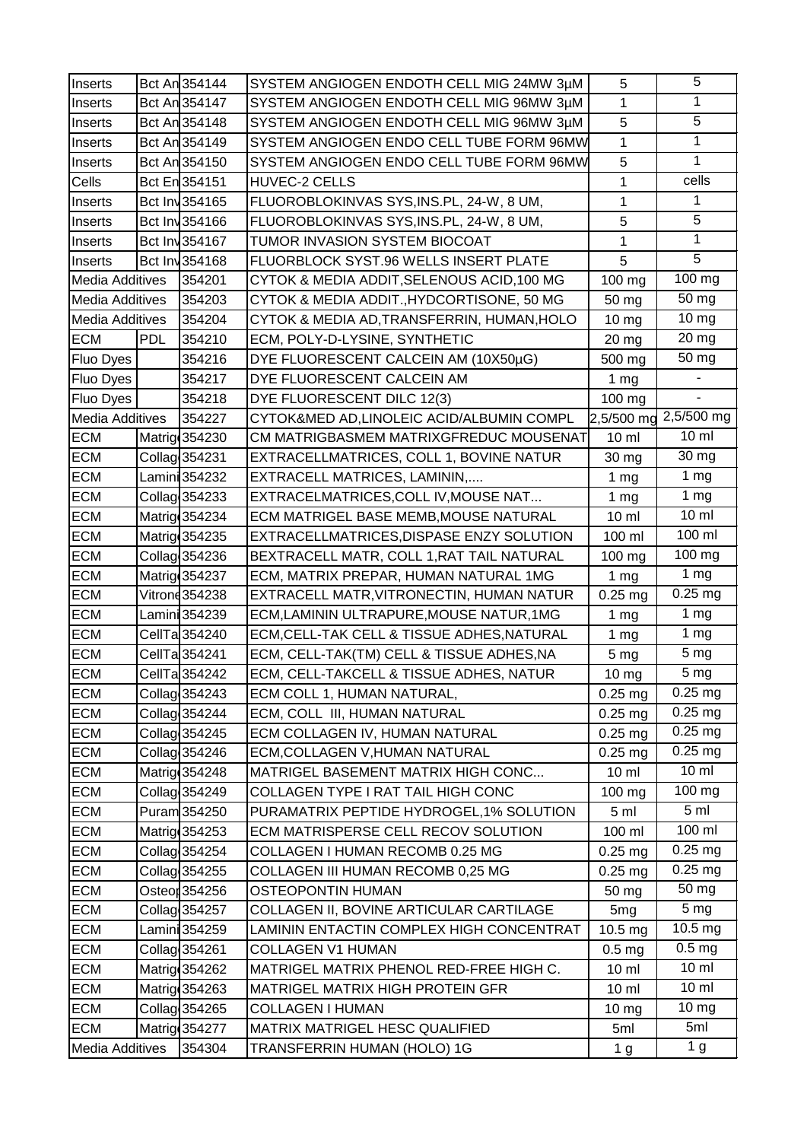| Inserts                |            | Bct An 354144            | SYSTEM ANGIOGEN ENDOTH CELL MIG 24MW 3µM   | 5                 | 5                     |
|------------------------|------------|--------------------------|--------------------------------------------|-------------------|-----------------------|
| Inserts                |            | Bct An <sub>354147</sub> | SYSTEM ANGIOGEN ENDOTH CELL MIG 96MW 3µM   | 1                 | 1                     |
| Inserts                |            | Bct An <sub>354148</sub> | SYSTEM ANGIOGEN ENDOTH CELL MIG 96MW 3µM   | 5                 | 5                     |
| Inserts                |            | Bct An <sub>354149</sub> | SYSTEM ANGIOGEN ENDO CELL TUBE FORM 96MW   | $\mathbf{1}$      | $\mathbf{1}$          |
| Inserts                |            | Bct An <sub>354150</sub> | SYSTEM ANGIOGEN ENDO CELL TUBE FORM 96MW   | 5                 | 1                     |
| Cells                  |            | Bct En 354151            | HUVEC-2 CELLS                              | $\mathbf{1}$      | cells                 |
| Inserts                |            | Bct Inv354165            | FLUOROBLOKINVAS SYS, INS.PL, 24-W, 8 UM,   | 1                 | 1                     |
| Inserts                |            | Bct Inv354166            | FLUOROBLOKINVAS SYS, INS.PL, 24-W, 8 UM,   | 5                 | 5                     |
| Inserts                |            | Bct Inv354167            | TUMOR INVASION SYSTEM BIOCOAT              | 1                 | 1                     |
| Inserts                |            | Bct Inv354168            | FLUORBLOCK SYST.96 WELLS INSERT PLATE      | 5                 | 5                     |
| <b>Media Additives</b> |            | 354201                   | CYTOK & MEDIA ADDIT, SELENOUS ACID, 100 MG | 100 mg            | 100 mg                |
| <b>Media Additives</b> |            | 354203                   | CYTOK & MEDIA ADDIT., HYDCORTISONE, 50 MG  | 50 mg             | 50 mg                 |
| <b>Media Additives</b> |            | 354204                   | CYTOK & MEDIA AD, TRANSFERRIN, HUMAN, HOLO | 10 <sub>mg</sub>  | 10 <sub>mg</sub>      |
| <b>ECM</b>             | <b>PDL</b> | 354210                   | ECM, POLY-D-LYSINE, SYNTHETIC              | 20 mg             | 20 mg                 |
| Fluo Dyes              |            | 354216                   | DYE FLUORESCENT CALCEIN AM (10X50µG)       | 500 mg            | 50 mg                 |
| <b>Fluo Dyes</b>       |            | 354217                   | DYE FLUORESCENT CALCEIN AM                 | 1 <sub>mg</sub>   |                       |
| Fluo Dyes              |            | 354218                   | DYE FLUORESCENT DILC 12(3)                 | 100 mg            |                       |
| <b>Media Additives</b> |            | 354227                   | CYTOK&MED AD, LINOLEIC ACID/ALBUMIN COMPL  |                   | 2,5/500 mg 2,5/500 mg |
| <b>ECM</b>             |            | Matrig 354230            | CM MATRIGBASMEM MATRIXGFREDUC MOUSENAT     | $10 \mathrm{m}$   | $10 \mathrm{m}$       |
| <b>ECM</b>             |            | Collag 354231            | EXTRACELLMATRICES, COLL 1, BOVINE NATUR    | 30 mg             | 30 mg                 |
| <b>ECM</b>             |            | Lamini 354232            | EXTRACELL MATRICES, LAMININ,               | 1 <sub>mg</sub>   | 1 <sub>mg</sub>       |
| <b>ECM</b>             |            | Collag 354233            | EXTRACELMATRICES, COLL IV, MOUSE NAT       | 1 $mg$            | 1 <sub>mg</sub>       |
| <b>ECM</b>             |            | Matrig 354234            | ECM MATRIGEL BASE MEMB, MOUSE NATURAL      | $10 \mathrm{m}$   | $10 \mathrm{m}$       |
| <b>ECM</b>             |            | Matrig 354235            | EXTRACELLMATRICES, DISPASE ENZY SOLUTION   | 100 ml            | 100 ml                |
| <b>ECM</b>             |            | Collag 354236            | BEXTRACELL MATR, COLL 1, RAT TAIL NATURAL  | 100 mg            | 100 mg                |
| <b>ECM</b>             |            | Matrig 354237            | ECM, MATRIX PREPAR, HUMAN NATURAL 1MG      | 1 <sub>mg</sub>   | $\overline{1}$ mg     |
| <b>ECM</b>             |            | Vitrone 354238           | EXTRACELL MATR, VITRONECTIN, HUMAN NATUR   | $0.25$ mg         | $0.25$ mg             |
| <b>ECM</b>             |            | Lamini 354239            | ECM, LAMININ ULTRAPURE, MOUSE NATUR, 1MG   | 1 <sub>mg</sub>   | 1 <sub>mg</sub>       |
| <b>ECM</b>             |            | CellTa354240             | ECM, CELL-TAK CELL & TISSUE ADHES, NATURAL | 1 <sub>mg</sub>   | 1 <sub>mg</sub>       |
| <b>ECM</b>             |            | CellTa354241             | ECM, CELL-TAK(TM) CELL & TISSUE ADHES, NA  | 5 <sub>mg</sub>   | 5 <sub>mg</sub>       |
| <b>ECM</b>             |            | CellTa354242             | ECM, CELL-TAKCELL & TISSUE ADHES, NATUR    | 10 <sub>mg</sub>  | 5 <sub>mg</sub>       |
| <b>ECM</b>             |            | Collag 354243            | ECM COLL 1, HUMAN NATURAL,                 | $0.25$ mg         | $0.25$ mg             |
| <b>ECM</b>             |            | Collag 354244            | ECM, COLL III, HUMAN NATURAL               | $0.25$ mg         | $0.25$ mg             |
| <b>ECM</b>             |            | Collag 354245            | ECM COLLAGEN IV, HUMAN NATURAL             | $0.25$ mg         | $0.25$ mg             |
| <b>ECM</b>             |            | Collag 354246            | ECM, COLLAGEN V, HUMAN NATURAL             | $0.25$ mg         | $0.25$ mg             |
| <b>ECM</b>             |            | Matrig 354248            | MATRIGEL BASEMENT MATRIX HIGH CONC         | $10 \mathrm{m}$   | $10 \text{ ml}$       |
| <b>ECM</b>             |            | Collag 354249            | COLLAGEN TYPE I RAT TAIL HIGH CONC         | 100 mg            | 100 mg                |
| <b>ECM</b>             |            | Puram <sub>354250</sub>  | PURAMATRIX PEPTIDE HYDROGEL, 1% SOLUTION   | 5 <sub>m</sub>    | 5 <sub>m</sub>        |
| <b>ECM</b>             |            | Matrig 354253            | ECM MATRISPERSE CELL RECOV SOLUTION        | 100 ml            | 100 ml                |
| <b>ECM</b>             |            | Collag 354254            | COLLAGEN I HUMAN RECOMB 0.25 MG            | $0.25$ mg         | $0.25$ mg             |
| <b>ECM</b>             |            | Collag 354255            | COLLAGEN III HUMAN RECOMB 0,25 MG          | $0.25$ mg         | $0.25$ mg             |
| <b>ECM</b>             |            | Osteor 354256            | OSTEOPONTIN HUMAN                          | 50 mg             | 50 mg                 |
| <b>ECM</b>             |            | Collag 354257            | COLLAGEN II, BOVINE ARTICULAR CARTILAGE    | 5 <sub>mg</sub>   | 5 <sub>mg</sub>       |
| <b>ECM</b>             |            | Lamini 354259            | LAMININ ENTACTIN COMPLEX HIGH CONCENTRAT   | 10.5 mg           | 10.5 mg               |
| <b>ECM</b>             |            | Collag 354261            | <b>COLLAGEN V1 HUMAN</b>                   | 0.5 <sub>mg</sub> | 0.5 <sub>mg</sub>     |
| <b>ECM</b>             |            | Matrig 354262            | MATRIGEL MATRIX PHENOL RED-FREE HIGH C.    | $10 \mathrm{m}$   | $10 \mathrm{m}$       |
| <b>ECM</b>             |            | Matrig 354263            | MATRIGEL MATRIX HIGH PROTEIN GFR           | $10 \mathrm{m}$   | $10 \mathrm{m}$       |
| <b>ECM</b>             |            | Collag 354265            | <b>COLLAGEN I HUMAN</b>                    | 10 <sub>mg</sub>  | 10 mg                 |
| <b>ECM</b>             |            | Matrig 354277            | MATRIX MATRIGEL HESC QUALIFIED             | 5ml               | 5ml                   |
| Media Additives        |            | 354304                   | TRANSFERRIN HUMAN (HOLO) 1G                | 1 <sub>g</sub>    | 1 <sub>g</sub>        |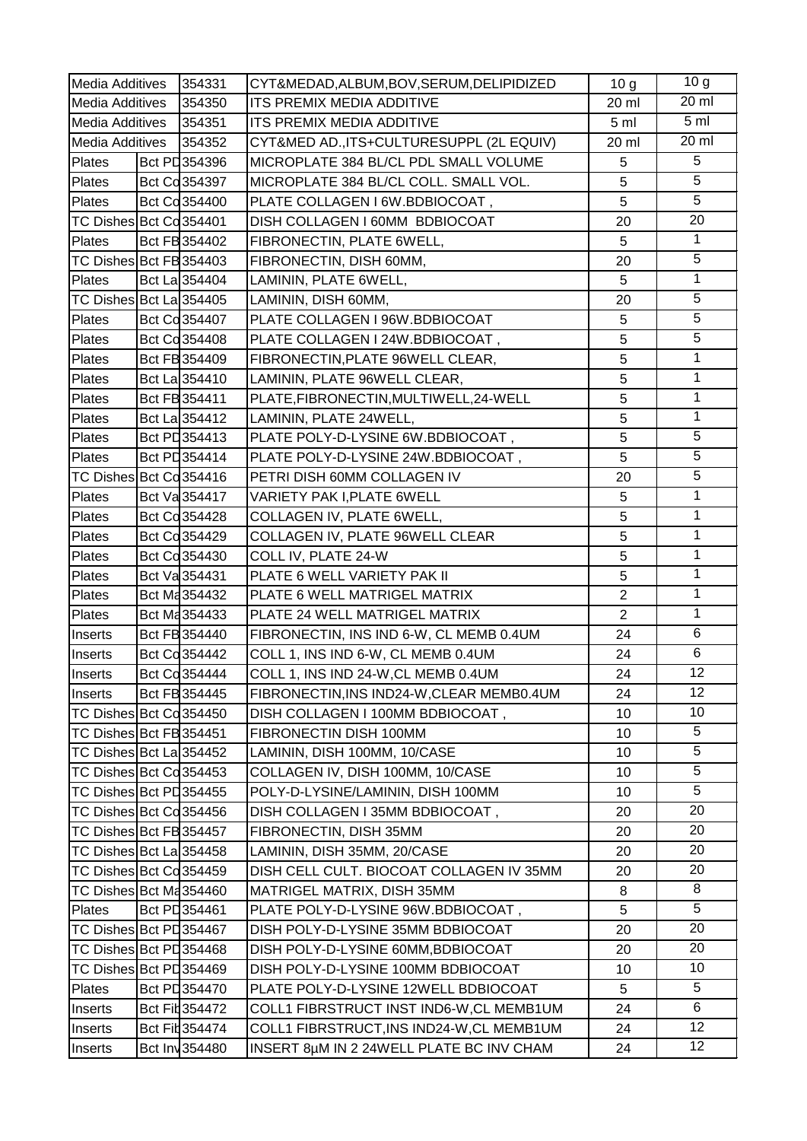| Media Additives         |                          | 354331        | CYT&MEDAD, ALBUM, BOV, SERUM, DELIPIDIZED | 10 <sub>g</sub> | 10 <sub>g</sub> |
|-------------------------|--------------------------|---------------|-------------------------------------------|-----------------|-----------------|
| <b>Media Additives</b>  |                          | 354350        | <b>ITS PREMIX MEDIA ADDITIVE</b>          | 20 ml           | 20 ml           |
| <b>Media Additives</b>  |                          | 354351        | ITS PREMIX MEDIA ADDITIVE                 | 5 <sub>ml</sub> | 5 <sub>m</sub>  |
| Media Additives         |                          | 354352        | CYT&MED AD., ITS+CULTURESUPPL (2L EQUIV)  | 20 ml           | 20 ml           |
| Plates                  | Bct PD 354396            |               | MICROPLATE 384 BL/CL PDL SMALL VOLUME     | 5               | 5               |
| Plates                  | Bct Cd 354397            |               | MICROPLATE 384 BL/CL COLL. SMALL VOL.     | 5               | $\overline{5}$  |
| Plates                  | <b>Bct Cd354400</b>      |               | PLATE COLLAGEN I 6W.BDBIOCOAT,            | 5               | $\overline{5}$  |
| TC Dishes Bct Cd 354401 |                          |               | DISH COLLAGEN I 60MM BDBIOCOAT            | 20              | 20              |
| Plates                  | Bct FB 354402            |               | FIBRONECTIN, PLATE 6WELL,                 | 5               | $\mathbf{1}$    |
| TC Dishes Bct FB354403  |                          |               | FIBRONECTIN, DISH 60MM,                   | 20              | $\overline{5}$  |
| Plates                  | Bct La 354404            |               | LAMININ, PLATE 6WELL,                     | 5               | 1               |
| TC Dishes Bct La 354405 |                          |               | LAMININ, DISH 60MM,                       | 20              | $\overline{5}$  |
| Plates                  | Bct Cd354407             |               | PLATE COLLAGEN I 96W.BDBIOCOAT            | 5               | $\overline{5}$  |
| Plates                  | Bct Cd 354408            |               | PLATE COLLAGEN I 24W.BDBIOCOAT,           | 5               | $\overline{5}$  |
| Plates                  | Bct FB 354409            |               | FIBRONECTIN, PLATE 96WELL CLEAR,          | 5               | $\mathbf{1}$    |
| Plates                  | Bct La 354410            |               | LAMININ, PLATE 96WELL CLEAR,              | 5               | $\mathbf{1}$    |
| Plates                  | Bct FB 354411            |               | PLATE,FIBRONECTIN,MULTIWELL,24-WELL       | 5               | 1               |
| Plates                  | Bct La 354412            |               | LAMININ, PLATE 24WELL,                    | 5               | 1               |
| Plates                  | Bct PD 354413            |               | PLATE POLY-D-LYSINE 6W.BDBIOCOAT,         | 5               | 5               |
| Plates                  | Bct PD 354414            |               | PLATE POLY-D-LYSINE 24W.BDBIOCOAT,        | 5               | $\overline{5}$  |
| TC Dishes Bct Cd354416  |                          |               | PETRI DISH 60MM COLLAGEN IV               | 20              | $\overline{5}$  |
| Plates                  | Bct Va 354417            |               | VARIETY PAK I, PLATE 6WELL                | 5               | 1               |
| Plates                  | Bct Cd 354428            |               | COLLAGEN IV, PLATE 6WELL,                 | 5               | 1               |
| Plates                  | Bct Cd354429             |               | COLLAGEN IV, PLATE 96WELL CLEAR           | 5               | 1               |
| Plates                  | Bct Cd 354430            |               | COLL IV, PLATE 24-W                       | 5               | 1               |
| Plates                  | Bct Va <sub>354431</sub> |               | PLATE 6 WELL VARIETY PAK II               | 5               | $\mathbf{1}$    |
| <b>Plates</b>           | Bct Ma 354432            |               | PLATE 6 WELL MATRIGEL MATRIX              | $\overline{2}$  | 1               |
| Plates                  | Bct Ma 354433            |               | PLATE 24 WELL MATRIGEL MATRIX             | $\overline{2}$  | $\mathbf{1}$    |
| Inserts                 | Bct FB 354440            |               | FIBRONECTIN, INS IND 6-W, CL MEMB 0.4UM   | 24              | 6               |
| Inserts                 | Bct Cd 354442            |               | COLL 1, INS IND 6-W, CL MEMB 0.4UM        | 24              | 6               |
| <b>Inserts</b>          |                          | Bct Co 354444 | COLL 1, INS IND 24-W, CL MEMB 0.4UM       | 24              | 12              |
| Inserts                 | Bct FB 354445            |               | FIBRONECTIN, INS IND24-W, CLEAR MEMB0.4UM | 24              | 12 <sup>2</sup> |
| TC Dishes Bct Cd354450  |                          |               | DISH COLLAGEN I 100MM BDBIOCOAT,          | 10              | 10              |
| TC Dishes Bct FB 354451 |                          |               | FIBRONECTIN DISH 100MM                    | 10              | $5\phantom{.0}$ |
| TC Dishes Bct La 354452 |                          |               | LAMININ, DISH 100MM, 10/CASE              | 10              | 5               |
| TC Dishes Bct Cd354453  |                          |               | COLLAGEN IV, DISH 100MM, 10/CASE          | 10              | 5               |
| TC Dishes Bct PD354455  |                          |               | POLY-D-LYSINE/LAMININ, DISH 100MM         | 10              | 5               |
| TC Dishes Bct Cd354456  |                          |               | DISH COLLAGEN I 35MM BDBIOCOAT,           | 20              | 20              |
| TC Dishes Bct FB354457  |                          |               | FIBRONECTIN, DISH 35MM                    | 20              | 20              |
| TC Dishes Bct La 354458 |                          |               | LAMININ, DISH 35MM, 20/CASE               | 20              | 20              |
| TC Dishes Bct Cd354459  |                          |               | DISH CELL CULT. BIOCOAT COLLAGEN IV 35MM  | 20              | 20              |
| TC Dishes Bct Ma354460  |                          |               | MATRIGEL MATRIX, DISH 35MM                | 8               | 8               |
| <b>Plates</b>           | Bct PD 354461            |               | PLATE POLY-D-LYSINE 96W.BDBIOCOAT,        | 5               | 5               |
| TC Dishes Bct PD354467  |                          |               | DISH POLY-D-LYSINE 35MM BDBIOCOAT         | 20              | 20              |
| TC Dishes Bct PD354468  |                          |               | DISH POLY-D-LYSINE 60MM, BDBIOCOAT        | 20              | 20              |
| TC Dishes Bct PD354469  |                          |               | DISH POLY-D-LYSINE 100MM BDBIOCOAT        | 10              | 10 <sup>°</sup> |
| Plates                  | Bct PL 354470            |               | PLATE POLY-D-LYSINE 12WELL BDBIOCOAT      | 5               | 5               |
| Inserts                 | Bct Fit 354472           |               | COLL1 FIBRSTRUCT INST IND6-W,CL MEMB1UM   | 24              | 6               |
| Inserts                 | Bct Fil 354474           |               | COLL1 FIBRSTRUCT, INS IND24-W, CL MEMB1UM | 24              | 12 <sup>2</sup> |
| Inserts                 | Bct Inv354480            |               | INSERT 8µM IN 2 24WELL PLATE BC INV CHAM  | 24              | 12              |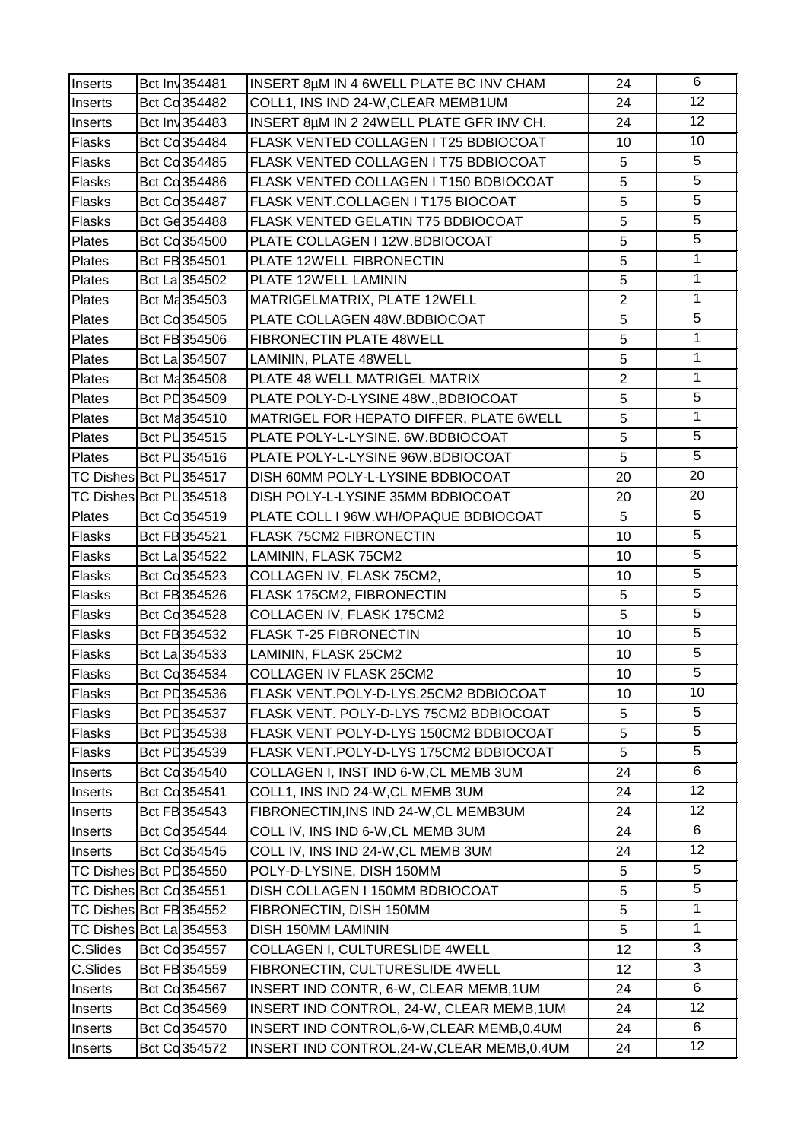| Inserts       | Bct Inv 354481           | INSERT 8µM IN 4 6WELL PLATE BC INV CHAM     | 24             | 6               |
|---------------|--------------------------|---------------------------------------------|----------------|-----------------|
| Inserts       | Bct Cd 354482            | COLL1, INS IND 24-W, CLEAR MEMB1UM          | 24             | $\overline{12}$ |
| Inserts       | Bct Inv354483            | INSERT 8µM IN 2 24WELL PLATE GFR INV CH.    | 24             | 12              |
| <b>Flasks</b> | Bct Cd354484             | FLASK VENTED COLLAGEN I T25 BDBIOCOAT       | 10             | 10              |
| <b>Flasks</b> | Bct Cd354485             | FLASK VENTED COLLAGEN I T75 BDBIOCOAT       | 5              | $\overline{5}$  |
| Flasks        | Bct Cd 354486            | FLASK VENTED COLLAGEN I T150 BDBIOCOAT      | 5              | $\overline{5}$  |
| Flasks        | Bct Cd 354487            | FLASK VENT.COLLAGEN I T175 BIOCOAT          | 5              | $\overline{5}$  |
| Flasks        | Bct Gd354488             | FLASK VENTED GELATIN T75 BDBIOCOAT          | 5              | $\overline{5}$  |
| Plates        | Bct Cd 354500            | PLATE COLLAGEN I 12W.BDBIOCOAT              | 5              | $\overline{5}$  |
| Plates        | Bct FB 354501            | PLATE 12WELL FIBRONECTIN                    | 5              | 1               |
| Plates        | Bct La 354502            | PLATE 12WELL LAMININ                        | 5              | 1               |
| Plates        | Bct Ma <sub>354503</sub> | MATRIGELMATRIX, PLATE 12WELL                | $\overline{2}$ | $\mathbf{1}$    |
| Plates        | Bct Cd354505             | PLATE COLLAGEN 48W.BDBIOCOAT                | 5              | 5               |
| Plates        | Bct FB 354506            | FIBRONECTIN PLATE 48WELL                    | 5              | $\mathbf{1}$    |
| Plates        | Bct La 354507            | LAMININ, PLATE 48WELL                       | $\overline{5}$ | $\overline{1}$  |
| Plates        | Bct Ma 354508            | PLATE 48 WELL MATRIGEL MATRIX               | $\overline{2}$ | $\mathbf{1}$    |
| Plates        | Bct PL 354509            | PLATE POLY-D-LYSINE 48W., BDBIOCOAT         | 5              | $\overline{5}$  |
| Plates        | Bct Ma 354510            | MATRIGEL FOR HEPATO DIFFER, PLATE 6WELL     | 5              | 1               |
| Plates        | Bct PL 354515            | PLATE POLY-L-LYSINE. 6W.BDBIOCOAT           | 5              | 5               |
| Plates        | Bct PL 354516            | PLATE POLY-L-LYSINE 96W.BDBIOCOAT           | 5              | $\overline{5}$  |
|               | TC Dishes Bct PL354517   | DISH 60MM POLY-L-LYSINE BDBIOCOAT           | 20             | 20              |
|               | TC Dishes Bct PL354518   | DISH POLY-L-LYSINE 35MM BDBIOCOAT           | 20             | 20              |
| Plates        | Bct Cd 354519            | PLATE COLL I 96W.WH/OPAQUE BDBIOCOAT        | 5              | 5               |
| <b>Flasks</b> | Bct FB 354521            | <b>FLASK 75CM2 FIBRONECTIN</b>              | 10             | $\overline{5}$  |
| Flasks        | Bct La 354522            | LAMININ, FLASK 75CM2                        | 10             | $\overline{5}$  |
| Flasks        | Bct Cd 354523            | COLLAGEN IV, FLASK 75CM2,                   | 10             | $\overline{5}$  |
| <b>Flasks</b> | Bct FB 354526            | FLASK 175CM2, FIBRONECTIN                   | 5              | $\overline{5}$  |
| Flasks        | Bct Cd354528             | COLLAGEN IV, FLASK 175CM2                   | $\overline{5}$ | $\overline{5}$  |
| Flasks        | Bct FB 354532            | FLASK T-25 FIBRONECTIN                      | 10             | $\overline{5}$  |
| Flasks        | Bct La 354533            | LAMININ, FLASK 25CM2                        | 10             | $\overline{5}$  |
| Flasks        | Bct Co 354534            | COLLAGEN IV FLASK 25CM2                     | 10             | $\overline{5}$  |
| Flasks        | Bct PD 354536            | FLASK VENT.POLY-D-LYS.25CM2 BDBIOCOAT       | 10             | 10              |
| <b>Flasks</b> | Bct PL354537             | FLASK VENT. POLY-D-LYS 75CM2 BDBIOCOAT      | 5              | 5               |
| Flasks        | Bct PL 354538            | FLASK VENT POLY-D-LYS 150CM2 BDBIOCOAT      | 5              | 5               |
| <b>Flasks</b> | Bct PL354539             | FLASK VENT.POLY-D-LYS 175CM2 BDBIOCOAT      | 5              | $5\phantom{.0}$ |
| Inserts       | Bct Cd354540             | COLLAGEN I, INST IND 6-W, CL MEMB 3UM       | 24             | 6               |
| Inserts       | Bct Cd354541             | COLL1, INS IND 24-W, CL MEMB 3UM            | 24             | 12              |
| Inserts       | Bct FB 354543            | FIBRONECTIN, INS IND 24-W, CL MEMB3UM       | 24             | 12              |
| Inserts       | Bct Cd 354544            | COLL IV, INS IND 6-W, CL MEMB 3UM           | 24             | 6               |
| Inserts       | Bct Cd 354545            | COLL IV, INS IND 24-W, CL MEMB 3UM          | 24             | 12 <sup>2</sup> |
|               | TC Dishes Bct PD354550   | POLY-D-LYSINE, DISH 150MM                   | 5              | 5               |
|               | TC Dishes Bct Cd 354551  | DISH COLLAGEN I 150MM BDBIOCOAT             | 5              | 5               |
|               | TC Dishes Bct FB 354552  | FIBRONECTIN, DISH 150MM                     | 5              | 1               |
|               | TC Dishes Bct La 354553  | DISH 150MM LAMININ                          | 5              | $\mathbf 1$     |
| C.Slides      | Bct Cd 354557            | COLLAGEN I, CULTURESLIDE 4WELL              | 12             | 3               |
| C.Slides      | Bct FB 354559            | FIBRONECTIN, CULTURESLIDE 4WELL             | 12             | $\overline{3}$  |
| Inserts       | Bct Cd 354567            | INSERT IND CONTR, 6-W, CLEAR MEMB, 1UM      | 24             | 6               |
| Inserts       | Bct Cd 354569            | INSERT IND CONTROL, 24-W, CLEAR MEMB, 1UM   | 24             | 12              |
| Inserts       | Bct Cd 354570            | INSERT IND CONTROL, 6-W, CLEAR MEMB, 0.4UM  | 24             | 6               |
| Inserts       | Bct Cd 354572            | INSERT IND CONTROL, 24-W, CLEAR MEMB, 0.4UM | 24             | 12              |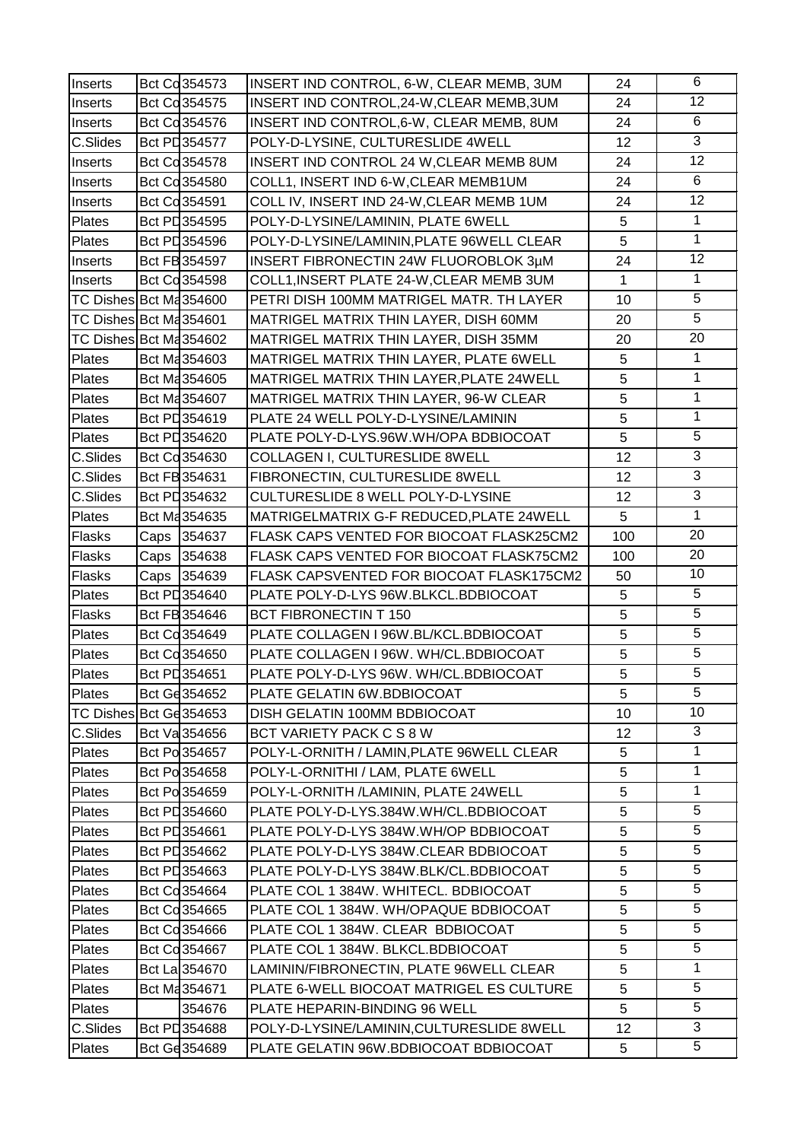| Inserts                 | Bct Cd 354573 | INSERT IND CONTROL, 6-W, CLEAR MEMB, 3UM     | 24              | 6               |
|-------------------------|---------------|----------------------------------------------|-----------------|-----------------|
| Inserts                 | Bct Cd 354575 | INSERT IND CONTROL, 24-W, CLEAR MEMB, 3UM    | 24              | $\overline{12}$ |
| Inserts                 | Bct Cd354576  | INSERT IND CONTROL, 6-W, CLEAR MEMB, 8UM     | 24              | 6               |
| C.Slides                | Bct PD 354577 | POLY-D-LYSINE, CULTURESLIDE 4WELL            | 12              | 3               |
| Inserts                 | Bct Cd354578  | INSERT IND CONTROL 24 W, CLEAR MEMB 8UM      | 24              | 12              |
| Inserts                 | Bct Cd 354580 | COLL1, INSERT IND 6-W, CLEAR MEMB1UM         | 24              | 6               |
| Inserts                 | Bct Cd354591  | COLL IV, INSERT IND 24-W, CLEAR MEMB 1UM     | 24              | $\overline{12}$ |
| Plates                  | Bct PL354595  | POLY-D-LYSINE/LAMININ, PLATE 6WELL           | 5               | 1               |
| Plates                  | Bct PL354596  | POLY-D-LYSINE/LAMININ, PLATE 96WELL CLEAR    | 5               | $\overline{1}$  |
| Inserts                 | Bct FB 354597 | <b>INSERT FIBRONECTIN 24W FLUOROBLOK 3µM</b> | 24              | 12              |
| Inserts                 | Bct Cd 354598 | COLL1, INSERT PLATE 24-W, CLEAR MEMB 3UM     | $\mathbf{1}$    | $\mathbf{1}$    |
| TC Dishes Bct Ma354600  |               | PETRI DISH 100MM MATRIGEL MATR. TH LAYER     | 10              | $\overline{5}$  |
| TC Dishes Bct Ma354601  |               | MATRIGEL MATRIX THIN LAYER, DISH 60MM        | 20              | $\overline{5}$  |
| TC Dishes Bct Ma354602  |               | MATRIGEL MATRIX THIN LAYER, DISH 35MM        | 20              | 20              |
| Plates                  | Bct Ma 354603 | MATRIGEL MATRIX THIN LAYER, PLATE 6WELL      | 5               | 1               |
| Plates                  | Bct Ma 354605 | MATRIGEL MATRIX THIN LAYER, PLATE 24WELL     | 5               | $\mathbf{1}$    |
| Plates                  | Bct Ma 354607 | MATRIGEL MATRIX THIN LAYER, 96-W CLEAR       | 5               | 1               |
| Plates                  | Bct PD 354619 | PLATE 24 WELL POLY-D-LYSINE/LAMININ          | 5               | $\mathbf{1}$    |
| Plates                  | Bct PD 354620 | PLATE POLY-D-LYS.96W.WH/OPA BDBIOCOAT        | 5               | $\overline{5}$  |
| C.Slides                | Bct Cd 354630 | <b>COLLAGEN I, CULTURESLIDE 8WELL</b>        | 12              | $\overline{3}$  |
| C.Slides                | Bct FB 354631 | FIBRONECTIN, CULTURESLIDE 8WELL              | 12              | $\overline{3}$  |
| C.Slides                | Bct PD 354632 | CULTURESLIDE 8 WELL POLY-D-LYSINE            | 12              | $\overline{3}$  |
| Plates                  | Bct Ma 354635 | MATRIGELMATRIX G-F REDUCED, PLATE 24WELL     | 5               | $\mathbf{1}$    |
| Flasks                  | Caps 354637   | FLASK CAPS VENTED FOR BIOCOAT FLASK25CM2     | 100             | $\overline{20}$ |
| Flasks                  | Caps 354638   | FLASK CAPS VENTED FOR BIOCOAT FLASK75CM2     | 100             | 20              |
| Flasks                  | Caps 354639   | FLASK CAPSVENTED FOR BIOCOAT FLASK175CM2     | 50              | 10              |
| Plates                  | Bct PL354640  | PLATE POLY-D-LYS 96W.BLKCL.BDBIOCOAT         | 5               | 5               |
| Flasks                  | Bct FB 354646 | BCT FIBRONECTIN T 150                        | $\overline{5}$  | $\overline{5}$  |
| Plates                  | Bct Cd354649  | PLATE COLLAGEN I 96W.BL/KCL.BDBIOCOAT        | 5               | $\overline{5}$  |
| Plates                  | Bct Cd 354650 | PLATE COLLAGEN I 96W. WH/CL.BDBIOCOAT        | 5               | $\overline{5}$  |
| Plates                  | Bct PD354651  | PLATE POLY-D-LYS 96W. WH/CL.BDBIOCOAT        | 5               | $\overline{5}$  |
| Plates                  | Bct Ge 354652 | PLATE GELATIN 6W.BDBIOCOAT                   | 5               | 5               |
| TC Dishes Bct Ge 354653 |               | DISH GELATIN 100MM BDBIOCOAT                 | 10              | 10 <sup>1</sup> |
| C.Slides                | Bct Va 354656 | BCT VARIETY PACK C S 8 W                     | 12              | 3               |
| Plates                  | Bct Po 354657 | POLY-L-ORNITH / LAMIN, PLATE 96WELL CLEAR    | 5               | $\mathbf{1}$    |
| Plates                  | Bct Po 354658 | POLY-L-ORNITHI / LAM, PLATE 6WELL            | 5               | $\mathbf{1}$    |
| Plates                  | Bct Po 354659 | POLY-L-ORNITH /LAMININ, PLATE 24WELL         | 5               | $\mathbf{1}$    |
| Plates                  | Bct PD354660  | PLATE POLY-D-LYS.384W.WH/CL.BDBIOCOAT        | 5               | 5               |
| Plates                  | Bct PL354661  | PLATE POLY-D-LYS 384W.WH/OP BDBIOCOAT        | 5               | 5               |
| Plates                  | Bct PL 354662 | PLATE POLY-D-LYS 384W.CLEAR BDBIOCOAT        | 5               | 5               |
| Plates                  | Bct PL 354663 | PLATE POLY-D-LYS 384W.BLK/CL.BDBIOCOAT       | 5               | 5               |
| Plates                  | Bct Cd 354664 | PLATE COL 1 384W. WHITECL. BDBIOCOAT         | 5               | 5               |
| Plates                  | Bct Cd 354665 | PLATE COL 1 384W. WH/OPAQUE BDBIOCOAT        | 5               | $\overline{5}$  |
| Plates                  | Bct Cd 354666 | PLATE COL 1 384W. CLEAR BDBIOCOAT            | 5               | 5               |
| Plates                  | Bct Cd 354667 | PLATE COL 1 384W. BLKCL.BDBIOCOAT            | 5               | 5               |
| Plates                  | Bct La 354670 | LAMININ/FIBRONECTIN, PLATE 96WELL CLEAR      | 5               | 1               |
| Plates                  | Bct Ma 354671 | PLATE 6-WELL BIOCOAT MATRIGEL ES CULTURE     | 5               | 5               |
| Plates                  | 354676        | PLATE HEPARIN-BINDING 96 WELL                | 5               | $\overline{5}$  |
| C.Slides                | Bct PD 354688 | POLY-D-LYSINE/LAMININ, CULTURESLIDE 8WELL    | 12 <sub>2</sub> | 3               |
| Plates                  | Bct Gd 354689 | PLATE GELATIN 96W.BDBIOCOAT BDBIOCOAT        | 5               | 5               |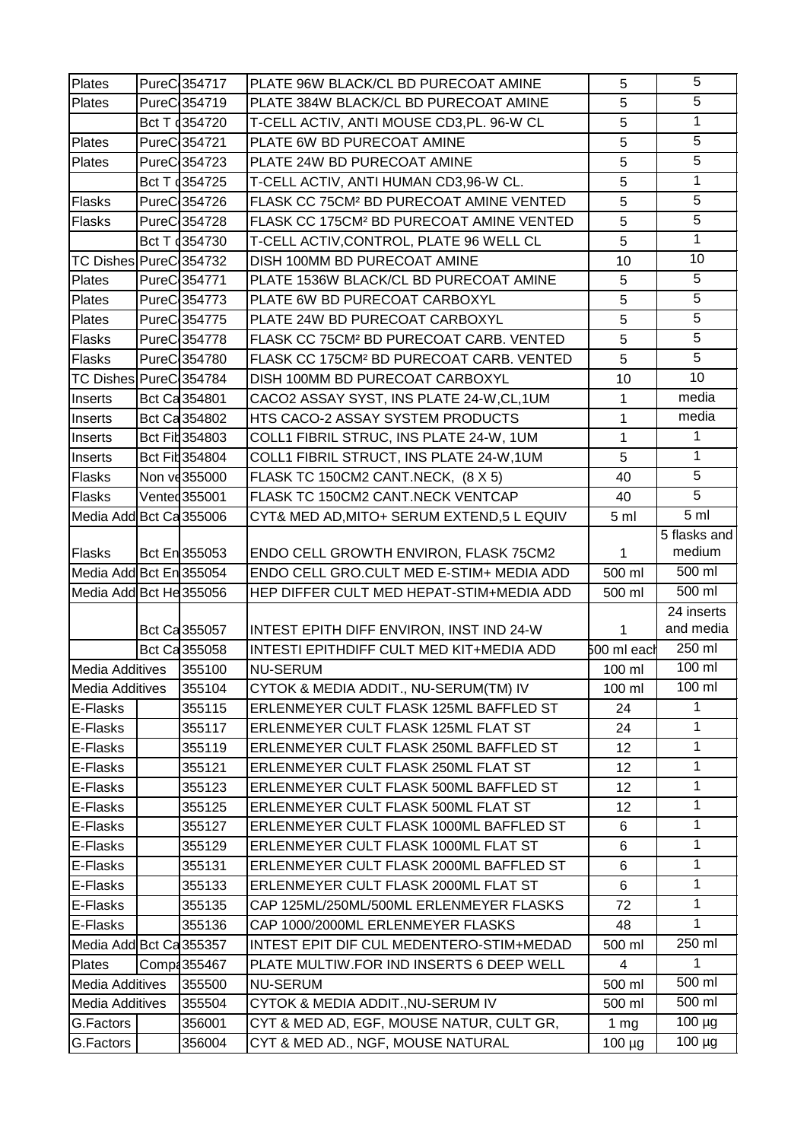| Plates                  | PureC 354717            | PLATE 96W BLACK/CL BD PURECOAT AMINE                 | 5               | 5                       |
|-------------------------|-------------------------|------------------------------------------------------|-----------------|-------------------------|
| Plates                  | PureC354719             | PLATE 384W BLACK/CL BD PURECOAT AMINE                | 5               | 5                       |
|                         | Bct T 4354720           | T-CELL ACTIV, ANTI MOUSE CD3, PL. 96-W CL            | 5               | $\mathbf{1}$            |
| Plates                  | PureC354721             | PLATE 6W BD PURECOAT AMINE                           | 5               | 5                       |
| Plates                  | PureC354723             | PLATE 24W BD PURECOAT AMINE                          | 5               | 5                       |
|                         | Bct T 4354725           | T-CELL ACTIV, ANTI HUMAN CD3,96-W CL.                | 5               | $\mathbf{1}$            |
| Flasks                  | PureC <sub>354726</sub> | FLASK CC 75CM <sup>2</sup> BD PURECOAT AMINE VENTED  | 5               | 5                       |
| <b>Flasks</b>           | PureC <sub>354728</sub> | FLASK CC 175CM <sup>2</sup> BD PURECOAT AMINE VENTED | 5               | 5                       |
|                         | Bct T 354730            | T-CELL ACTIV, CONTROL, PLATE 96 WELL CL              | 5               | $\mathbf{1}$            |
| TC Dishes PureC 354732  |                         | DISH 100MM BD PURECOAT AMINE                         | 10              | 10                      |
| Plates                  | PureC354771             | PLATE 1536W BLACK/CL BD PURECOAT AMINE               | 5               | 5                       |
|                         | PureC 354773            |                                                      | 5               | $\overline{5}$          |
| Plates                  |                         | PLATE 6W BD PURECOAT CARBOXYL                        |                 | $\overline{5}$          |
| <b>Plates</b>           | PureC <sub>354775</sub> | PLATE 24W BD PURECOAT CARBOXYL                       | 5               | 5                       |
| Flasks                  | PureC <sub>354778</sub> | FLASK CC 75CM <sup>2</sup> BD PURECOAT CARB. VENTED  | 5               | $\overline{5}$          |
| Flasks                  | PureC <sub>354780</sub> | FLASK CC 175CM <sup>2</sup> BD PURECOAT CARB. VENTED | 5               | 10                      |
| TC Dishes PureC 354784  |                         | DISH 100MM BD PURECOAT CARBOXYL                      | 10              |                         |
| Inserts                 | Bct Ca 354801           | CACO2 ASSAY SYST, INS PLATE 24-W, CL, 1UM            | $\mathbf{1}$    | media                   |
| Inserts                 | Bct Ca 354802           | HTS CACO-2 ASSAY SYSTEM PRODUCTS                     | 1               | media                   |
| Inserts                 | Bct Fil 354803          | COLL1 FIBRIL STRUC, INS PLATE 24-W, 1UM              | $\mathbf{1}$    | 1                       |
| Inserts                 | Bct Fil 354804          | COLL1 FIBRIL STRUCT, INS PLATE 24-W, 1UM             | 5               | $\mathbf{1}$            |
| Flasks                  | Non ve 355000           | FLASK TC 150CM2 CANT.NECK, (8 X 5)                   | 40              | 5                       |
| <b>Flasks</b>           | Vented 355001           | FLASK TC 150CM2 CANT.NECK VENTCAP                    | 40              | 5                       |
| Media Add Bct Ca 355006 |                         | CYT& MED AD, MITO+ SERUM EXTEND, 5 L EQUIV           | 5 <sub>m</sub>  | 5 <sub>ml</sub>         |
|                         |                         |                                                      |                 | 5 flasks and            |
| Flasks                  | Bct En 355053           | ENDO CELL GROWTH ENVIRON, FLASK 75CM2                | 1               | medium                  |
| Media Add Bct En 355054 |                         | ENDO CELL GRO.CULT MED E-STIM+ MEDIA ADD             | 500 ml          | 500 ml                  |
| Media Add Bct He 355056 |                         | HEP DIFFER CULT MED HEPAT-STIM+MEDIA ADD             | 500 ml          | 500 ml                  |
|                         |                         |                                                      |                 | 24 inserts<br>and media |
|                         | Bct Ca 355057           | INTEST EPITH DIFF ENVIRON, INST IND 24-W             | $\mathbf{1}$    | 250 ml                  |
|                         | Bct Ca 355058           | INTESTI EPITHDIFF CULT MED KIT+MEDIA ADD             | 500 ml each     | 100 ml                  |
| Media Additives         | 355100                  | <b>NU-SERUM</b>                                      | 100 ml          |                         |
| <b>Media Additives</b>  | 355104                  | CYTOK & MEDIA ADDIT., NU-SERUM(TM) IV                | 100 ml          | 100 ml                  |
| E-Flasks                | 355115                  | ERLENMEYER CULT FLASK 125ML BAFFLED ST               | 24              | 1                       |
| E-Flasks                | 355117                  | ERLENMEYER CULT FLASK 125ML FLAT ST                  | 24              | 1                       |
| E-Flasks                | 355119                  | ERLENMEYER CULT FLASK 250ML BAFFLED ST               | 12              | 1                       |
| E-Flasks                | 355121                  | ERLENMEYER CULT FLASK 250ML FLAT ST                  | 12              | $\mathbf 1$             |
| E-Flasks                | 355123                  | ERLENMEYER CULT FLASK 500ML BAFFLED ST               | 12              | 1                       |
| E-Flasks                | 355125                  | ERLENMEYER CULT FLASK 500ML FLAT ST                  | 12              | 1                       |
| E-Flasks                | 355127                  | ERLENMEYER CULT FLASK 1000ML BAFFLED ST              | 6               | 1                       |
| E-Flasks                | 355129                  | ERLENMEYER CULT FLASK 1000ML FLAT ST                 | 6               | $\mathbf 1$             |
| E-Flasks                | 355131                  | ERLENMEYER CULT FLASK 2000ML BAFFLED ST              | 6               | 1                       |
| E-Flasks                | 355133                  | ERLENMEYER CULT FLASK 2000ML FLAT ST                 | 6               | 1                       |
| E-Flasks                | 355135                  | CAP 125ML/250ML/500ML ERLENMEYER FLASKS              | 72              | 1                       |
| E-Flasks                | 355136                  | CAP 1000/2000ML ERLENMEYER FLASKS                    | 48              | 1                       |
| Media Add Bct Ca 355357 |                         | INTEST EPIT DIF CUL MEDENTERO-STIM+MEDAD             | 500 ml          | 250 ml                  |
| Plates                  | Comp4355467             | PLATE MULTIW.FOR IND INSERTS 6 DEEP WELL             | 4               | 1                       |
| Media Additives         | 355500                  | <b>NU-SERUM</b>                                      | 500 ml          | 500 ml                  |
| <b>Media Additives</b>  | 355504                  | CYTOK & MEDIA ADDIT., NU-SERUM IV                    | 500 ml          | 500 ml                  |
| G.Factors               | 356001                  | CYT & MED AD, EGF, MOUSE NATUR, CULT GR,             | 1 <sub>mg</sub> | $100 \mu g$             |
| G.Factors               | 356004                  | CYT & MED AD., NGF, MOUSE NATURAL                    | $100 \mu g$     | $100 \mu g$             |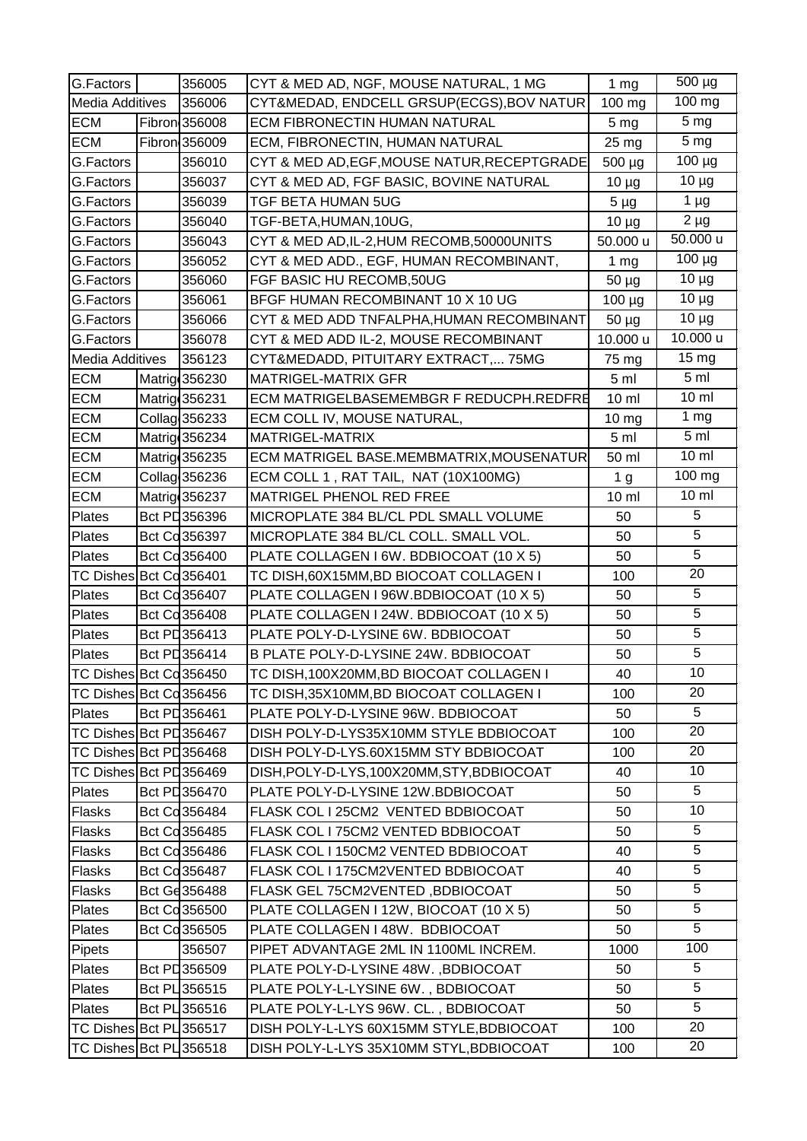| G.Factors               | 356005        | CYT & MED AD, NGF, MOUSE NATURAL, 1 MG      | 1 <sub>mg</sub>  | 500 µg           |
|-------------------------|---------------|---------------------------------------------|------------------|------------------|
| <b>Media Additives</b>  | 356006        | CYT&MEDAD, ENDCELL GRSUP(ECGS), BOV NATUR   | 100 mg           | 100 mg           |
| <b>ECM</b>              | Fibron 356008 | ECM FIBRONECTIN HUMAN NATURAL               | 5 <sub>mg</sub>  | 5 <sub>mg</sub>  |
| <b>ECM</b>              | Fibron 356009 | ECM, FIBRONECTIN, HUMAN NATURAL             | 25 mg            | 5 <sub>mg</sub>  |
| G.Factors               | 356010        | CYT & MED AD, EGF, MOUSE NATUR, RECEPTGRADE | 500 µg           | $100 \mu g$      |
| G.Factors               | 356037        | CYT & MED AD, FGF BASIC, BOVINE NATURAL     | $10 \mu g$       | $10 \mu g$       |
| G.Factors               | 356039        | <b>TGF BETA HUMAN 5UG</b>                   | $5 \mu g$        | $1 \mu g$        |
| G.Factors               | 356040        | TGF-BETA,HUMAN,10UG,                        | $10 \mu g$       | $2 \mu g$        |
| G.Factors               | 356043        | CYT & MED AD, IL-2, HUM RECOMB, 50000UNITS  | 50.000 u         | 50.000 u         |
| G.Factors               | 356052        | CYT & MED ADD., EGF, HUMAN RECOMBINANT,     | 1 <sub>mg</sub>  | $100 \mu g$      |
| G.Factors               | 356060        | FGF BASIC HU RECOMB,50UG                    | $50 \mu g$       | $10 \mu g$       |
| G.Factors               | 356061        | BFGF HUMAN RECOMBINANT 10 X 10 UG           | 100 µg           | $10 \mu g$       |
| G.Factors               | 356066        | CYT & MED ADD TNFALPHA, HUMAN RECOMBINANT   | $50 \mu g$       | $10 \mu g$       |
| G.Factors               | 356078        | CYT & MED ADD IL-2, MOUSE RECOMBINANT       | 10.000 u         | 10.000 u         |
| <b>Media Additives</b>  | 356123        | CYT&MEDADD, PITUITARY EXTRACT, 75MG         | 75 mg            | 15 <sub>mg</sub> |
| <b>ECM</b>              | Matrig 356230 | <b>MATRIGEL-MATRIX GFR</b>                  | 5 <sub>m</sub>   | 5 <sub>m</sub>   |
| <b>ECM</b>              | Matrig 356231 | ECM MATRIGELBASEMEMBGR F REDUCPH.REDFRE     | 10 <sub>m</sub>  | 10 <sub>m</sub>  |
| <b>ECM</b>              | Collag 356233 | ECM COLL IV, MOUSE NATURAL,                 | 10 <sub>mg</sub> | 1 <sub>mg</sub>  |
| <b>ECM</b>              | Matrig 356234 | MATRIGEL-MATRIX                             | 5 <sub>m</sub>   | 5 <sub>m</sub>   |
| <b>ECM</b>              | Matrig 356235 | ECM MATRIGEL BASE.MEMBMATRIX, MOUSENATUR    | 50 ml            | $10 \mathrm{m}$  |
| <b>ECM</b>              | Collag 356236 | ECM COLL 1, RAT TAIL, NAT (10X100MG)        | 1 <sub>g</sub>   | 100 mg           |
| <b>ECM</b>              | Matrig 356237 | MATRIGEL PHENOL RED FREE                    | $10 \mathrm{m}$  | $10 \mathrm{m}$  |
| Plates                  | Bct PL356396  | MICROPLATE 384 BL/CL PDL SMALL VOLUME       | 50               | 5                |
| Plates                  | Bct Cd356397  | MICROPLATE 384 BL/CL COLL. SMALL VOL.       | 50               | $\overline{5}$   |
| Plates                  | Bct Cd 356400 | PLATE COLLAGEN I 6W. BDBIOCOAT (10 X 5)     | 50               | $\overline{5}$   |
| TC Dishes Bct Cd 356401 |               | TC DISH, 60X15MM, BD BIOCOAT COLLAGEN I     | 100              | 20               |
| Plates                  | Bct Cd356407  | PLATE COLLAGEN I 96W.BDBIOCOAT (10 X 5)     | 50               | 5                |
| Plates                  | Bct Cd356408  | PLATE COLLAGEN I 24W. BDBIOCOAT (10 X 5)    | 50               | $\overline{5}$   |
| Plates                  | Bct PD 356413 | PLATE POLY-D-LYSINE 6W. BDBIOCOAT           | 50               | $\overline{5}$   |
| Plates                  | Bct PD 356414 | B PLATE POLY-D-LYSINE 24W. BDBIOCOAT        | 50               | $\overline{5}$   |
| TC Dishes Bct Cd 356450 |               | TC DISH, 100X20MM, BD BIOCOAT COLLAGEN I    | 40               | 10               |
| TC Dishes Bct Cd 356456 |               | TC DISH, 35X10MM, BD BIOCOAT COLLAGEN I     | 100              | 20               |
| Plates                  | Bct PD 356461 | PLATE POLY-D-LYSINE 96W. BDBIOCOAT          | 50               | 5                |
| TC Dishes Bct PD356467  |               | DISH POLY-D-LYS35X10MM STYLE BDBIOCOAT      | 100              | 20               |
| TC Dishes Bct PD356468  |               | DISH POLY-D-LYS.60X15MM STY BDBIOCOAT       | 100              | 20               |
| TC Dishes Bct PD356469  |               | DISH, POLY-D-LYS, 100X20MM, STY, BDBIOCOAT  | 40               | 10               |
| <b>Plates</b>           | Bct PD356470  | PLATE POLY-D-LYSINE 12W.BDBIOCOAT           | 50               | 5                |
| Flasks                  | Bct Cd356484  | FLASK COL I 25CM2 VENTED BDBIOCOAT          | 50               | 10               |
| Flasks                  | Bct Cd 356485 | FLASK COL I 75CM2 VENTED BDBIOCOAT          | 50               | 5                |
| <b>Flasks</b>           | Bct Cd356486  | FLASK COL I 150CM2 VENTED BDBIOCOAT         | 40               | 5                |
| Flasks                  | Bct Cd356487  | FLASK COL I 175CM2VENTED BDBIOCOAT          | 40               | $\overline{5}$   |
| Flasks                  | Bct Gd356488  | FLASK GEL 75CM2VENTED, BDBIOCOAT            | 50               | 5                |
| <b>Plates</b>           | Bct Cd356500  | PLATE COLLAGEN I 12W, BIOCOAT (10 X 5)      | 50               | $\overline{5}$   |
| Plates                  | Bct Cd 356505 | PLATE COLLAGEN I 48W. BDBIOCOAT             | 50               | 5                |
| Pipets                  | 356507        | PIPET ADVANTAGE 2ML IN 1100ML INCREM.       | 1000             | 100              |
| Plates                  | Bct PL 356509 | PLATE POLY-D-LYSINE 48W. , BDBIOCOAT        | 50               | $5\phantom{.0}$  |
| Plates                  | Bct PL 356515 | PLATE POLY-L-LYSINE 6W., BDBIOCOAT          | 50               | 5                |
| Plates                  | Bct PL 356516 | PLATE POLY-L-LYS 96W. CL., BDBIOCOAT        | 50               | $\overline{5}$   |
| TC Dishes Bct PL 356517 |               | DISH POLY-L-LYS 60X15MM STYLE, BDBIOCOAT    | 100              | 20               |
| TC Dishes Bct PL 356518 |               | DISH POLY-L-LYS 35X10MM STYL, BDBIOCOAT     | 100              | 20               |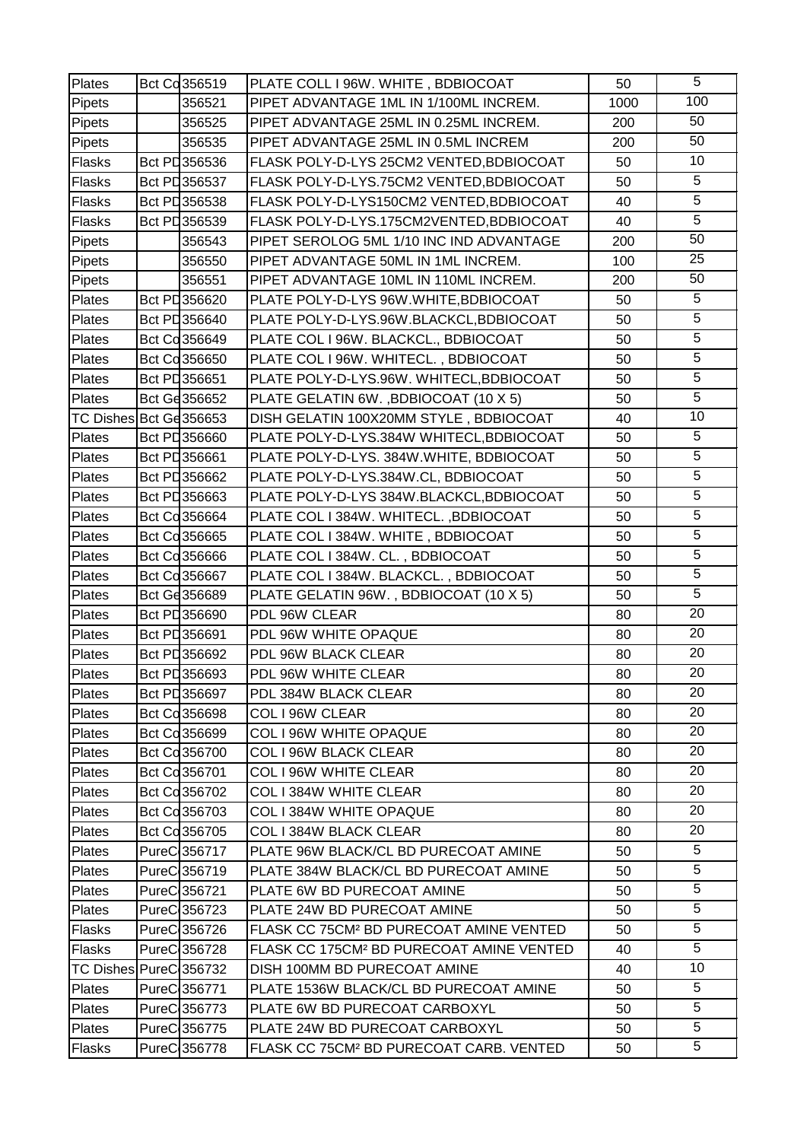| Plates                 | Bct Cd356519            | PLATE COLL I 96W. WHITE, BDBIOCOAT                   | 50   | 5               |
|------------------------|-------------------------|------------------------------------------------------|------|-----------------|
| Pipets                 | 356521                  | PIPET ADVANTAGE 1ML IN 1/100ML INCREM.               | 1000 | 100             |
| Pipets                 | 356525                  | PIPET ADVANTAGE 25ML IN 0.25ML INCREM.               | 200  | 50              |
| Pipets                 | 356535                  | PIPET ADVANTAGE 25ML IN 0.5ML INCREM                 | 200  | 50              |
| Flasks                 | Bct PL356536            | FLASK POLY-D-LYS 25CM2 VENTED, BDBIOCOAT             | 50   | 10              |
| Flasks                 | Bct PL356537            | FLASK POLY-D-LYS.75CM2 VENTED, BDBIOCOAT             | 50   | 5               |
| Flasks                 | Bct PD356538            | FLASK POLY-D-LYS150CM2 VENTED, BDBIOCOAT             | 40   | $\overline{5}$  |
| Flasks                 | Bct PL356539            | FLASK POLY-D-LYS.175CM2VENTED, BDBIOCOAT             | 40   | $\overline{5}$  |
| Pipets                 | 356543                  | PIPET SEROLOG 5ML 1/10 INC IND ADVANTAGE             | 200  | 50              |
| Pipets                 | 356550                  | PIPET ADVANTAGE 50ML IN 1ML INCREM.                  | 100  | 25              |
| Pipets                 | 356551                  | PIPET ADVANTAGE 10ML IN 110ML INCREM.                | 200  | 50              |
| Plates                 | Bct PL356620            | PLATE POLY-D-LYS 96W.WHITE, BDBIOCOAT                | 50   | 5               |
| Plates                 | Bct PL356640            | PLATE POLY-D-LYS.96W.BLACKCL,BDBIOCOAT               | 50   | $\overline{5}$  |
| Plates                 | Bct Cd356649            | PLATE COL I 96W. BLACKCL., BDBIOCOAT                 | 50   | $\overline{5}$  |
| Plates                 | Bct Cd 356650           | PLATE COL I 96W. WHITECL., BDBIOCOAT                 | 50   | 5               |
| Plates                 | Bct PD356651            | PLATE POLY-D-LYS.96W. WHITECL, BDBIOCOAT             | 50   | 5               |
| Plates                 | Bct Ge 356652           | PLATE GELATIN 6W., BDBIOCOAT (10 X 5)                | 50   | $\overline{5}$  |
| TC Dishes Bct Gd356653 |                         | DISH GELATIN 100X20MM STYLE, BDBIOCOAT               | 40   | 10              |
| Plates                 | Bct PL356660            | PLATE POLY-D-LYS.384W WHITECL, BDBIOCOAT             | 50   | 5               |
| Plates                 | Bct PL356661            | PLATE POLY-D-LYS. 384W.WHITE, BDBIOCOAT              | 50   | $\overline{5}$  |
| Plates                 | Bct PL356662            | PLATE POLY-D-LYS.384W.CL, BDBIOCOAT                  | 50   | 5               |
| Plates                 | Bct PL356663            | PLATE POLY-D-LYS 384W.BLACKCL,BDBIOCOAT              | 50   | $\overline{5}$  |
| Plates                 | Bct Cd356664            | PLATE COL I 384W. WHITECL., BDBIOCOAT                | 50   | 5               |
| Plates                 | Bct Cd356665            | PLATE COL I 384W. WHITE, BDBIOCOAT                   | 50   | $\overline{5}$  |
| Plates                 | Bct Cd 356666           | PLATE COL I 384W. CL., BDBIOCOAT                     | 50   | 5               |
| Plates                 | Bct Cd356667            | PLATE COL I 384W. BLACKCL., BDBIOCOAT                | 50   | 5               |
| Plates                 | Bct Gd356689            | PLATE GELATIN 96W., BDBIOCOAT (10 X 5)               | 50   | $\overline{5}$  |
| Plates                 | Bct PL356690            | PDL 96W CLEAR                                        | 80   | $\overline{20}$ |
| Plates                 | Bct PD 356691           | PDL 96W WHITE OPAQUE                                 | 80   | 20              |
| Plates                 | Bct PL356692            | PDL 96W BLACK CLEAR                                  | 80   | 20              |
| Plates                 | Bct PL 356693           | PDL 96W WHITE CLEAR                                  | 80   | 20              |
| Plates                 | Bct PD 356697           | PDL 384W BLACK CLEAR                                 | 80   | 20              |
| <b>Plates</b>          | Bct Cd 356698           | COL I 96W CLEAR                                      | 80   | 20              |
| Plates                 | Bct Cd356699            | <b>COL I 96W WHITE OPAQUE</b>                        | 80   | 20              |
| Plates                 | Bct Cd 356700           | COL I 96W BLACK CLEAR                                | 80   | 20              |
| Plates                 | Bct Cd356701            | COL I 96W WHITE CLEAR                                | 80   | 20              |
| Plates                 | Bct Cd 356702           | COL I 384W WHITE CLEAR                               | 80   | 20              |
| Plates                 | Bct Cd 356703           | COL I 384W WHITE OPAQUE                              | 80   | 20              |
| Plates                 | Bct Cd 356705           | COL I 384W BLACK CLEAR                               | 80   | 20              |
| Plates                 | PureC356717             | PLATE 96W BLACK/CL BD PURECOAT AMINE                 | 50   | 5               |
| Plates                 | PureC 356719            | PLATE 384W BLACK/CL BD PURECOAT AMINE                | 50   | 5               |
| Plates                 | PureC356721             | PLATE 6W BD PURECOAT AMINE                           | 50   | 5               |
| Plates                 | PureC 356723            | PLATE 24W BD PURECOAT AMINE                          | 50   | 5               |
| Flasks                 | PureC 356726            | FLASK CC 75CM <sup>2</sup> BD PURECOAT AMINE VENTED  | 50   | 5               |
| Flasks                 | PureC 356728            | FLASK CC 175CM <sup>2</sup> BD PURECOAT AMINE VENTED | 40   | 5               |
| TC Dishes PureC 356732 |                         | DISH 100MM BD PURECOAT AMINE                         | 40   | 10              |
| Plates                 | PureC <sub>356771</sub> | PLATE 1536W BLACK/CL BD PURECOAT AMINE               | 50   | 5               |
| Plates                 | PureC 356773            | PLATE 6W BD PURECOAT CARBOXYL                        | 50   | 5               |
| Plates                 | PureC356775             | PLATE 24W BD PURECOAT CARBOXYL                       | 50   | 5               |
| Flasks                 | PureC356778             | FLASK CC 75CM <sup>2</sup> BD PURECOAT CARB. VENTED  | 50   | 5               |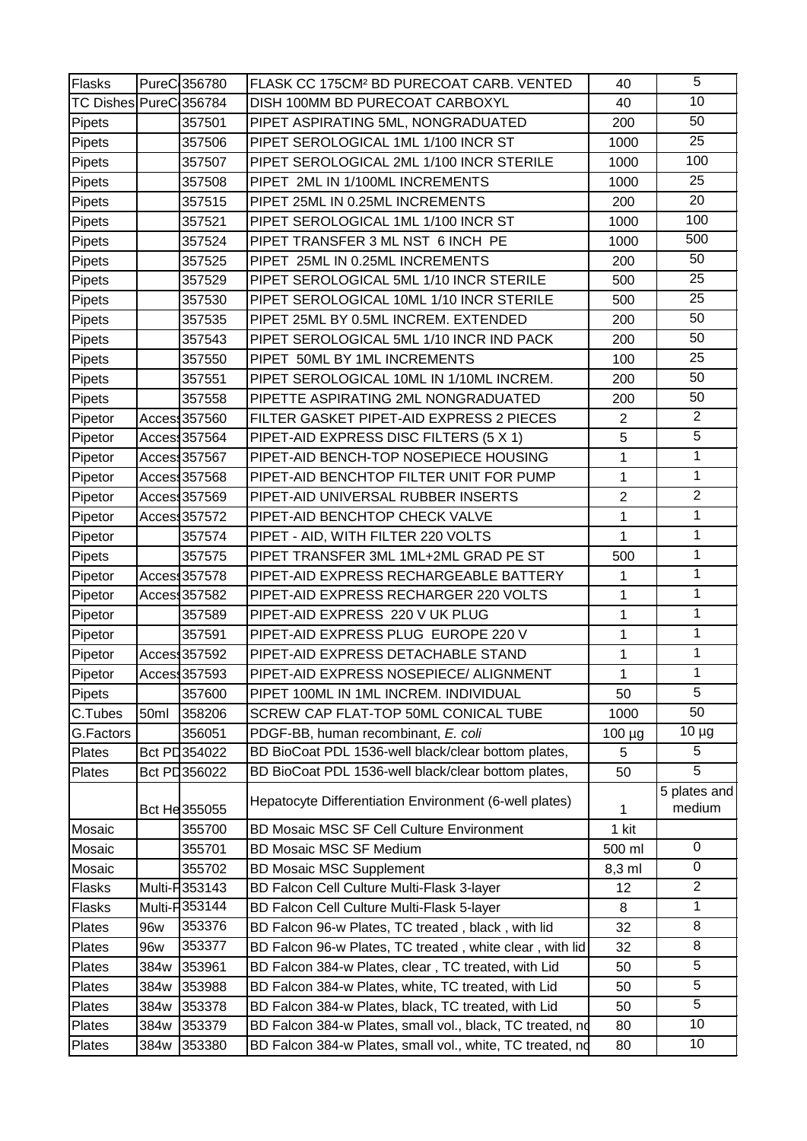| Flasks                 |      | PureC356780             | FLASK CC 175CM <sup>2</sup> BD PURECOAT CARB. VENTED      | 40             | 5                      |
|------------------------|------|-------------------------|-----------------------------------------------------------|----------------|------------------------|
| TC Dishes PureC 356784 |      |                         | DISH 100MM BD PURECOAT CARBOXYL                           | 40             | 10                     |
| Pipets                 |      | 357501                  | PIPET ASPIRATING 5ML, NONGRADUATED                        | 200            | 50                     |
| Pipets                 |      | 357506                  | PIPET SEROLOGICAL 1ML 1/100 INCR ST                       | 1000           | 25                     |
| Pipets                 |      | 357507                  | PIPET SEROLOGICAL 2ML 1/100 INCR STERILE                  | 1000           | 100                    |
| Pipets                 |      | 357508                  | PIPET 2ML IN 1/100ML INCREMENTS                           | 1000           | 25                     |
| Pipets                 |      | 357515                  | PIPET 25ML IN 0.25ML INCREMENTS                           | 200            | 20                     |
| Pipets                 |      | 357521                  | PIPET SEROLOGICAL 1ML 1/100 INCR ST                       | 1000           | 100                    |
| Pipets                 |      | 357524                  | PIPET TRANSFER 3 ML NST 6 INCH PE                         | 1000           | 500                    |
| Pipets                 |      | 357525                  | PIPET 25ML IN 0.25ML INCREMENTS                           | 200            | 50                     |
| Pipets                 |      | 357529                  | PIPET SEROLOGICAL 5ML 1/10 INCR STERILE                   | 500            | 25                     |
| Pipets                 |      | 357530                  | PIPET SEROLOGICAL 10ML 1/10 INCR STERILE                  | 500            | 25                     |
| Pipets                 |      | 357535                  | PIPET 25ML BY 0.5ML INCREM. EXTENDED                      | 200            | 50                     |
| Pipets                 |      | 357543                  | PIPET SEROLOGICAL 5ML 1/10 INCR IND PACK                  | 200            | 50                     |
| Pipets                 |      | 357550                  | PIPET 50ML BY 1ML INCREMENTS                              | 100            | 25                     |
| Pipets                 |      | 357551                  | PIPET SEROLOGICAL 10ML IN 1/10ML INCREM.                  | 200            | 50                     |
| Pipets                 |      | 357558                  | PIPETTE ASPIRATING 2ML NONGRADUATED                       | 200            | 50                     |
| Pipetor                |      | Acces <sub>357560</sub> | FILTER GASKET PIPET-AID EXPRESS 2 PIECES                  | $\overline{2}$ | $\mathbf{2}$           |
| Pipetor                |      | Access357564            | PIPET-AID EXPRESS DISC FILTERS (5 X 1)                    | 5              | 5                      |
| Pipetor                |      | Access357567            | PIPET-AID BENCH-TOP NOSEPIECE HOUSING                     | $\mathbf{1}$   | $\overline{1}$         |
| Pipetor                |      | Acces: 357568           | PIPET-AID BENCHTOP FILTER UNIT FOR PUMP                   | 1              | $\mathbf{1}$           |
| Pipetor                |      | Acces: 357569           | PIPET-AID UNIVERSAL RUBBER INSERTS                        | $\overline{2}$ | $\overline{2}$         |
| Pipetor                |      | Acces: 357572           | PIPET-AID BENCHTOP CHECK VALVE                            | $\mathbf{1}$   | $\mathbf{1}$           |
| Pipetor                |      | 357574                  | PIPET - AID, WITH FILTER 220 VOLTS                        | $\mathbf{1}$   | 1                      |
| Pipets                 |      | 357575                  | PIPET TRANSFER 3ML 1ML+2ML GRAD PE ST                     | 500            | $\mathbf 1$            |
| Pipetor                |      | Acces: 357578           | PIPET-AID EXPRESS RECHARGEABLE BATTERY                    | 1              | 1                      |
| Pipetor                |      | Acces: 357582           | PIPET-AID EXPRESS RECHARGER 220 VOLTS                     | 1              | $\mathbf 1$            |
| Pipetor                |      | 357589                  | PIPET-AID EXPRESS 220 V UK PLUG                           | 1              | 1                      |
| Pipetor                |      | 357591                  | PIPET-AID EXPRESS PLUG EUROPE 220 V                       | 1              | $\mathbf{1}$           |
| Pipetor                |      | Acces: 357592           | PIPET-AID EXPRESS DETACHABLE STAND                        | 1              | $\mathbf 1$            |
| Pipetor                |      | Access357593            | PIPET-AID EXPRESS NOSEPIECE/ ALIGNMENT                    | $\mathbf{1}$   | $\mathbf{1}$           |
| Pipets                 |      | 357600                  | PIPET 100ML IN 1ML INCREM. INDIVIDUAL                     | 50             | 5                      |
| C.Tubes                | 50ml | 358206                  | SCREW CAP FLAT-TOP 50ML CONICAL TUBE                      | 1000           | 50                     |
| G.Factors              |      | 356051                  | PDGF-BB, human recombinant, E. coli                       | 100 µg         | $10 \mu g$             |
| Plates                 |      | Bct PD354022            | BD BioCoat PDL 1536-well black/clear bottom plates,       | 5              | 5                      |
| Plates                 |      | Bct PD 356022           | BD BioCoat PDL 1536-well black/clear bottom plates,       | 50             | 5                      |
|                        |      | Bct He 355055           | Hepatocyte Differentiation Environment (6-well plates)    | 1              | 5 plates and<br>medium |
| Mosaic                 |      | 355700                  | <b>BD Mosaic MSC SF Cell Culture Environment</b>          | 1 kit          |                        |
| Mosaic                 |      | 355701                  | <b>BD Mosaic MSC SF Medium</b>                            | 500 ml         | 0                      |
| Mosaic                 |      | 355702                  | <b>BD Mosaic MSC Supplement</b>                           | 8,3 ml         | 0                      |
| Flasks                 |      | Multi- <b>F</b> 353143  | BD Falcon Cell Culture Multi-Flask 3-layer                | 12             | $\overline{c}$         |
| Flasks                 |      | Multi- <b>F</b> 353144  | BD Falcon Cell Culture Multi-Flask 5-layer                | 8              | 1                      |
| Plates                 | 96w  | 353376                  | BD Falcon 96-w Plates, TC treated, black, with lid        | 32             | 8                      |
| Plates                 | 96w  | 353377                  | BD Falcon 96-w Plates, TC treated, white clear, with lid  | 32             | 8                      |
| Plates                 | 384w | 353961                  | BD Falcon 384-w Plates, clear, TC treated, with Lid       | 50             | 5                      |
| Plates                 | 384w | 353988                  | BD Falcon 384-w Plates, white, TC treated, with Lid       | 50             | $\overline{5}$         |
| Plates                 | 384w | 353378                  | BD Falcon 384-w Plates, black, TC treated, with Lid       | 50             | 5                      |
| Plates                 | 384w | 353379                  | BD Falcon 384-w Plates, small vol., black, TC treated, nd | 80             | 10                     |
| Plates                 | 384w | 353380                  | BD Falcon 384-w Plates, small vol., white, TC treated, nd | 80             | 10                     |